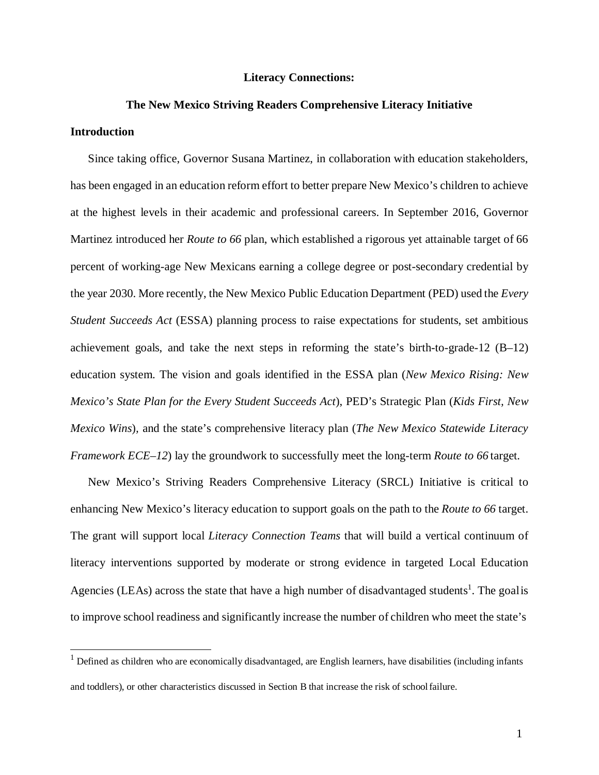#### **Literacy Connections:**

# **The New Mexico Striving Readers Comprehensive Literacy Initiative**

## **Introduction**

Since taking office, Governor Susana Martinez, in collaboration with education stakeholders, has been engaged in an education reform effort to better prepare New Mexico's children to achieve at the highest levels in their academic and professional careers. In September 2016, Governor Martinez introduced her *Route to 66* plan, which established a rigorous yet attainable target of 66 percent of working-age New Mexicans earning a college degree or post-secondary credential by the year 2030. More recently, the New Mexico Public Education Department (PED) used the *Every Student Succeeds Act* (ESSA) planning process to raise expectations for students, set ambitious achievement goals, and take the next steps in reforming the state's birth-to-grade-12 (B–12) education system. The vision and goals identified in the ESSA plan (*New Mexico Rising: New Mexico's State Plan for the Every Student Succeeds Act*), PED's Strategic Plan (*Kids First, New Mexico Wins*)*,* and the state's comprehensive literacy plan (*The New Mexico Statewide Literacy Framework ECE–12*) lay the groundwork to successfully meet the long-term *Route to 66* target.

New Mexico's Striving Readers Comprehensive Literacy (SRCL) Initiative is critical to enhancing New Mexico's literacy education to support goals on the path to the *Route to 66* target. The grant will support local *Literacy Connection Teams* that will build a vertical continuum of literacy interventions supported by moderate or strong evidence in targeted Local Education Agencies (LEAs) across the state that have a high number of disadvantaged students<sup>1</sup>. The goalis to improve school readiness and significantly increase the number of children who meet the state's

<span id="page-0-0"></span> $1$  Defined as children who are economically disadvantaged, are English learners, have disabilities (including infants and toddlers), or other characteristics discussed in Section B that increase the risk of schoolfailure.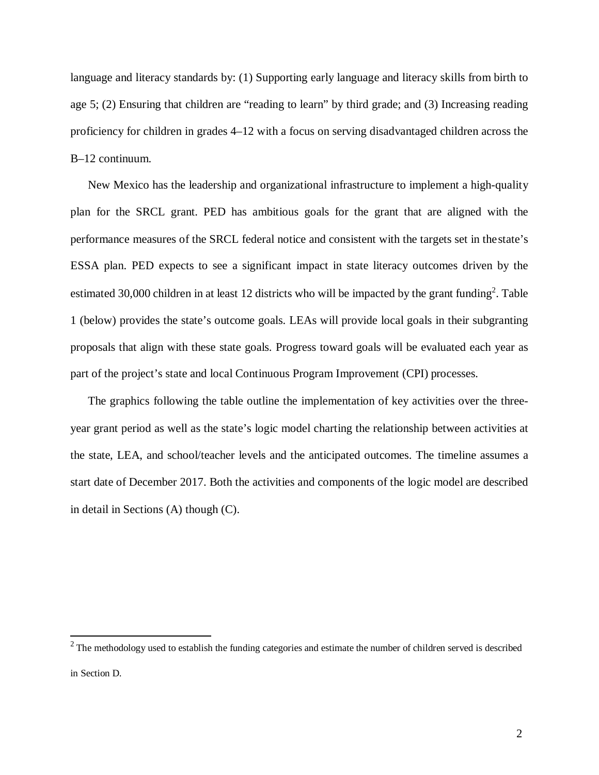language and literacy standards by: (1) Supporting early language and literacy skills from birth to age 5; (2) Ensuring that children are "reading to learn" by third grade; and (3) Increasing reading proficiency for children in grades 4–12 with a focus on serving disadvantaged children across the B–12 continuum.

New Mexico has the leadership and organizational infrastructure to implement a high-quality plan for the SRCL grant. PED has ambitious goals for the grant that are aligned with the performance measures of the SRCL federal notice and consistent with the targets set in thestate's ESSA plan. PED expects to see a significant impact in state literacy outcomes driven by the estimated 30,000 children in at least 12 districts who will be impacted by the grant funding<sup>2</sup>. Table 1 (below) provides the state's outcome goals. LEAs will provide local goals in their subgranting proposals that align with these state goals. Progress toward goals will be evaluated each year as part of the project's state and local Continuous Program Improvement (CPI) processes.

The graphics following the table outline the implementation of key activities over the threeyear grant period as well as the state's logic model charting the relationship between activities at the state, LEA, and school/teacher levels and the anticipated outcomes. The timeline assumes a start date of December 2017. Both the activities and components of the logic model are described in detail in Sections (A) though (C).

<span id="page-1-0"></span> $2$  The methodology used to establish the funding categories and estimate the number of children served is described in Section D.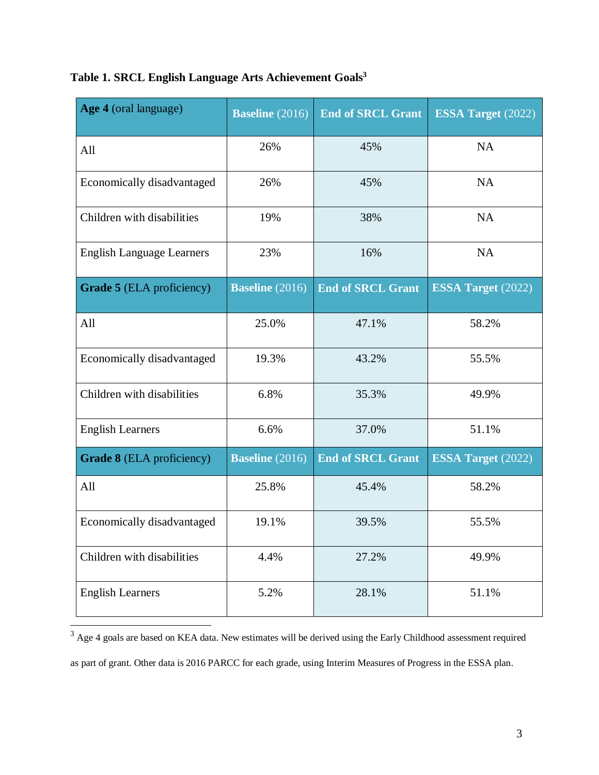| Age 4 (oral language)            | <b>Baseline</b> (2016) | <b>End of SRCL Grant</b> | <b>ESSA Target (2022)</b> |
|----------------------------------|------------------------|--------------------------|---------------------------|
| All                              | 26%                    | 45%                      | <b>NA</b>                 |
| Economically disadvantaged       | 26%                    | 45%                      | <b>NA</b>                 |
| Children with disabilities       | 19%                    | 38%                      | <b>NA</b>                 |
| <b>English Language Learners</b> | 23%                    | 16%                      | <b>NA</b>                 |
| Grade 5 (ELA proficiency)        | <b>Baseline</b> (2016) | <b>End of SRCL Grant</b> | <b>ESSA Target</b> (2022) |
| All                              | 25.0%                  | 47.1%                    | 58.2%                     |
| Economically disadvantaged       | 19.3%                  | 43.2%                    | 55.5%                     |
| Children with disabilities       | 6.8%                   | 35.3%                    | 49.9%                     |
| <b>English Learners</b>          | 6.6%                   | 37.0%                    | 51.1%                     |
| <b>Grade 8</b> (ELA proficiency) | <b>Baseline</b> (2016) | <b>End of SRCL Grant</b> | <b>ESSA Target</b> (2022) |
| All                              | 25.8%                  | 45.4%                    | 58.2%                     |
| Economically disadvantaged       | 19.1%                  | 39.5%                    | 55.5%                     |
| Children with disabilities       | 4.4%                   | 27.2%                    | 49.9%                     |
| <b>English Learners</b>          | 5.2%                   | 28.1%                    | 51.1%                     |

## **Table 1. SRCL English Language Arts Achievement Goal[s3](#page-2-0)**

<span id="page-2-0"></span> $3$  Age 4 goals are based on KEA data. New estimates will be derived using the Early Childhood assessment required as part of grant. Other data is 2016 PARCC for each grade, using Interim Measures of Progress in the ESSA plan.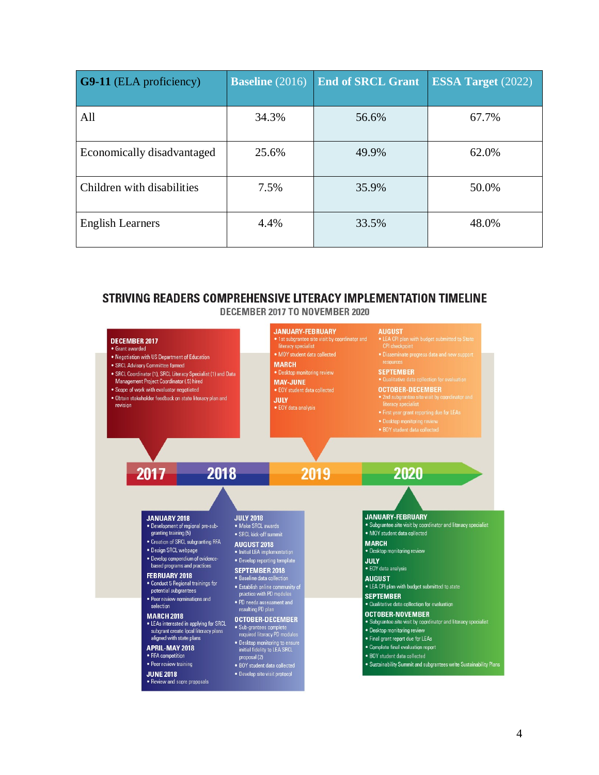| <b>G9-11</b> (ELA proficiency) | <b>Baseline</b> (2016) | <b>End of SRCL Grant</b> | <b>ESSA Target</b> (2022) |
|--------------------------------|------------------------|--------------------------|---------------------------|
| All                            | 34.3%                  | 56.6%                    | 67.7%                     |
| Economically disadvantaged     | 25.6%                  | 49.9%                    | 62.0%                     |
| Children with disabilities     | 7.5%                   | 35.9%                    | 50.0%                     |
| <b>English Learners</b>        | 4.4%                   | 33.5%                    | 48.0%                     |

## STRIVING READERS COMPREHENSIVE LITERACY IMPLEMENTATION TIMELINE DECEMBER 2017 TO NOVEMBER 2020

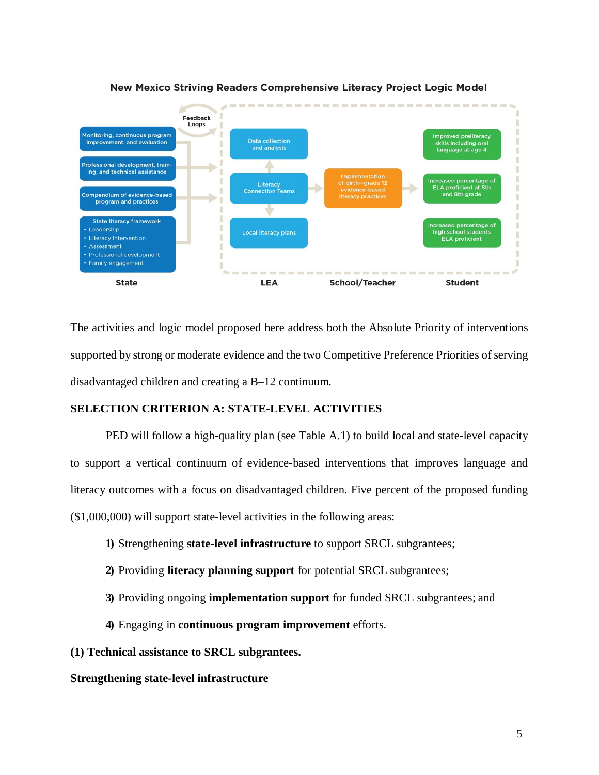

## New Mexico Striving Readers Comprehensive Literacy Project Logic Model

The activities and logic model proposed here address both the Absolute Priority of interventions supported by strong or moderate evidence and the two Competitive Preference Priorities of serving disadvantaged children and creating a B–12 continuum.

## **SELECTION CRITERION A: STATE-LEVEL ACTIVITIES**

PED will follow a high-quality plan (see Table A.1) to build local and state-level capacity to support a vertical continuum of evidence-based interventions that improves language and literacy outcomes with a focus on disadvantaged children. Five percent of the proposed funding (\$1,000,000) will support state-level activities in the following areas:

- **1)** Strengthening **state-level infrastructure** to support SRCL subgrantees;
- **2)** Providing **literacy planning support** for potential SRCL subgrantees;
- **3)** Providing ongoing **implementation support** for funded SRCL subgrantees; and
- **4)** Engaging in **continuous program improvement** efforts.

## **(1) Technical assistance to SRCL subgrantees.**

## **Strengthening state-level infrastructure**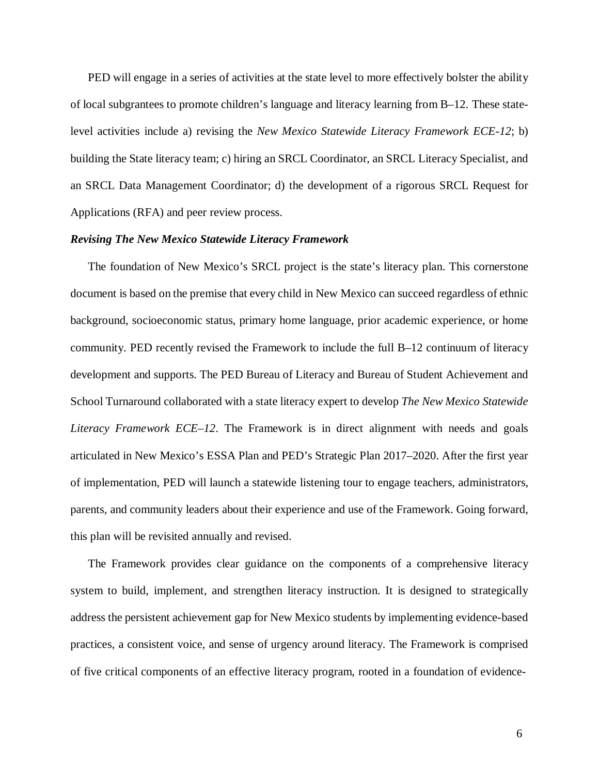PED will engage in a series of activities at the state level to more effectively bolster the ability of local subgrantees to promote children's language and literacy learning from B–12. These statelevel activities include a) revising the *New Mexico Statewide Literacy Framework ECE-12*; b) building the State literacy team; c) hiring an SRCL Coordinator, an SRCL Literacy Specialist, and an SRCL Data Management Coordinator; d) the development of a rigorous SRCL Request for Applications (RFA) and peer review process.

## *Revising The New Mexico Statewide Literacy Framework*

The foundation of New Mexico's SRCL project is the state's literacy plan. This cornerstone document is based on the premise that every child in New Mexico can succeed regardless of ethnic background, socioeconomic status, primary home language, prior academic experience, or home community. PED recently revised the Framework to include the full B–12 continuum of literacy development and supports. The PED Bureau of Literacy and Bureau of Student Achievement and School Turnaround collaborated with a state literacy expert to develop *The New Mexico Statewide Literacy Framework ECE–12*. The Framework is in direct alignment with needs and goals articulated in New Mexico's ESSA Plan and PED's Strategic Plan 2017–2020. After the first year of implementation, PED will launch a statewide listening tour to engage teachers, administrators, parents, and community leaders about their experience and use of the Framework. Going forward, this plan will be revisited annually and revised.

The Framework provides clear guidance on the components of a comprehensive literacy system to build, implement, and strengthen literacy instruction. It is designed to strategically address the persistent achievement gap for New Mexico students by implementing evidence-based practices, a consistent voice, and sense of urgency around literacy. The Framework is comprised of five critical components of an effective literacy program, rooted in a foundation of evidence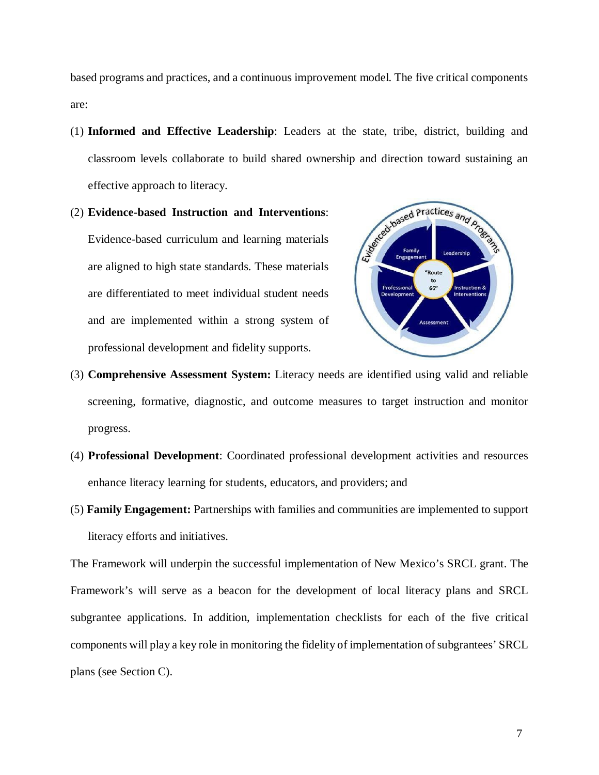based programs and practices, and a continuous improvement model. The five critical components are:

- (1) **Informed and Effective Leadership**: Leaders at the state, tribe, district, building and classroom levels collaborate to build shared ownership and direction toward sustaining an effective approach to literacy.
- (2) **Evidence-based Instruction and Interventions**: Evidence-based curriculum and learning materials are aligned to high state standards. These materials are differentiated to meet individual student needs and are implemented within a strong system of professional development and fidelity supports.



- (3) **Comprehensive Assessment System:** Literacy needs are identified using valid and reliable screening, formative, diagnostic, and outcome measures to target instruction and monitor progress.
- (4) **Professional Development**: Coordinated professional development activities and resources enhance literacy learning for students, educators, and providers; and
- (5) **Family Engagement:** Partnerships with families and communities are implemented to support literacy efforts and initiatives.

The Framework will underpin the successful implementation of New Mexico's SRCL grant. The Framework's will serve as a beacon for the development of local literacy plans and SRCL subgrantee applications. In addition, implementation checklists for each of the five critical components will play a key role in monitoring the fidelity of implementation of subgrantees' SRCL plans (see Section C).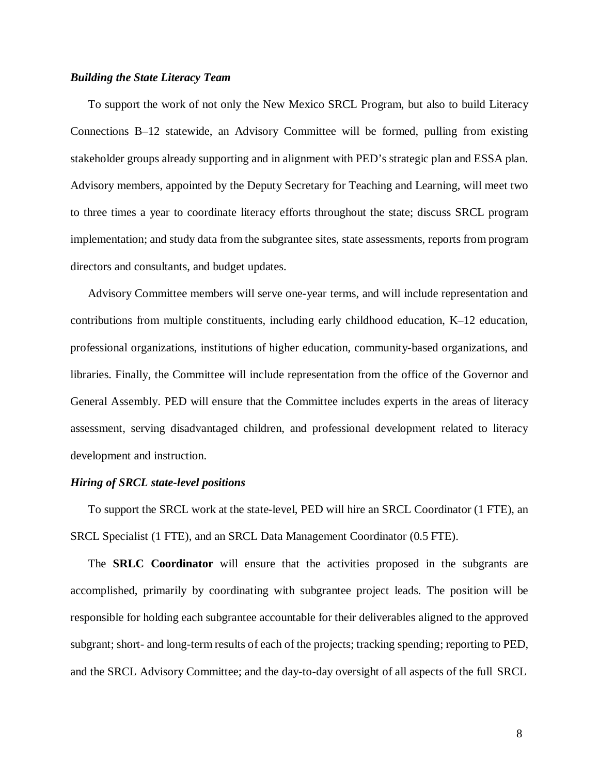## *Building the State Literacy Team*

To support the work of not only the New Mexico SRCL Program, but also to build Literacy Connections B–12 statewide, an Advisory Committee will be formed, pulling from existing stakeholder groups already supporting and in alignment with PED's strategic plan and ESSA plan. Advisory members, appointed by the Deputy Secretary for Teaching and Learning, will meet two to three times a year to coordinate literacy efforts throughout the state; discuss SRCL program implementation; and study data from the subgrantee sites, state assessments, reports from program directors and consultants, and budget updates.

Advisory Committee members will serve one-year terms, and will include representation and contributions from multiple constituents, including early childhood education, K–12 education, professional organizations, institutions of higher education, community-based organizations, and libraries. Finally, the Committee will include representation from the office of the Governor and General Assembly. PED will ensure that the Committee includes experts in the areas of literacy assessment, serving disadvantaged children, and professional development related to literacy development and instruction.

#### *Hiring of SRCL state-level positions*

To support the SRCL work at the state-level, PED will hire an SRCL Coordinator (1 FTE), an SRCL Specialist (1 FTE), and an SRCL Data Management Coordinator (0.5 FTE).

The **SRLC Coordinator** will ensure that the activities proposed in the subgrants are accomplished, primarily by coordinating with subgrantee project leads. The position will be responsible for holding each subgrantee accountable for their deliverables aligned to the approved subgrant; short- and long-term results of each of the projects; tracking spending; reporting to PED, and the SRCL Advisory Committee; and the day-to-day oversight of all aspects of the full SRCL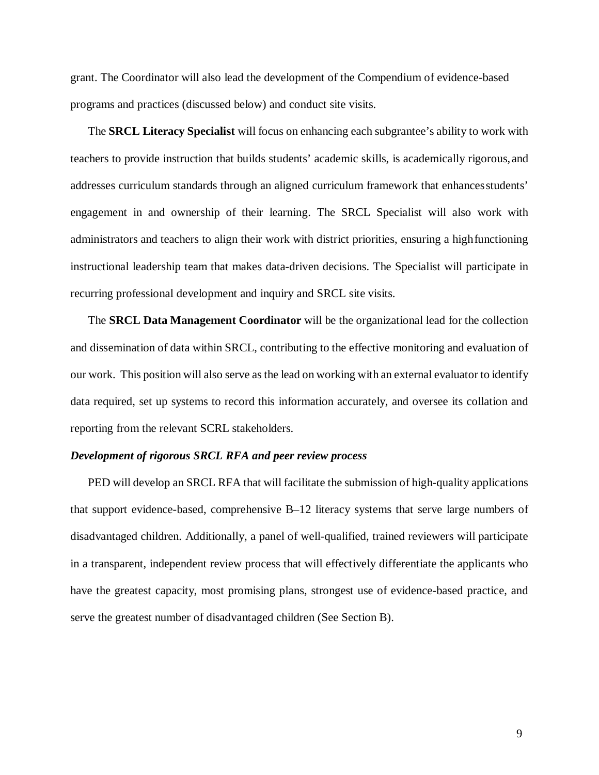grant. The Coordinator will also lead the development of the Compendium of evidence-based programs and practices (discussed below) and conduct site visits.

The **SRCL Literacy Specialist** will focus on enhancing each subgrantee's ability to work with teachers to provide instruction that builds students' academic skills, is academically rigorous,and addresses curriculum standards through an aligned curriculum framework that enhancesstudents' engagement in and ownership of their learning. The SRCL Specialist will also work with administrators and teachers to align their work with district priorities, ensuring a highfunctioning instructional leadership team that makes data-driven decisions. The Specialist will participate in recurring professional development and inquiry and SRCL site visits.

The **SRCL Data Management Coordinator** will be the organizational lead for the collection and dissemination of data within SRCL, contributing to the effective monitoring and evaluation of our work. This position will also serve asthe lead on working with an external evaluator to identify data required, set up systems to record this information accurately, and oversee its collation and reporting from the relevant SCRL stakeholders.

#### *Development of rigorous SRCL RFA and peer review process*

PED will develop an SRCL RFA that will facilitate the submission of high-quality applications that support evidence-based, comprehensive B–12 literacy systems that serve large numbers of disadvantaged children. Additionally, a panel of well-qualified, trained reviewers will participate in a transparent, independent review process that will effectively differentiate the applicants who have the greatest capacity, most promising plans, strongest use of evidence-based practice, and serve the greatest number of disadvantaged children (See Section B).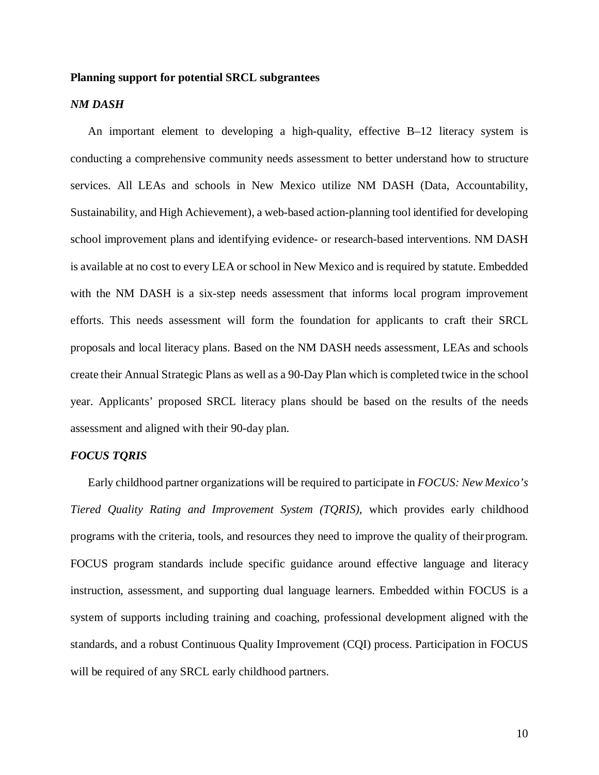## **Planning support for potential SRCL subgrantees**

## *NM DASH*

An important element to developing a high-quality, effective B–12 literacy system is conducting a comprehensive community needs assessment to better understand how to structure services. All LEAs and schools in New Mexico utilize NM DASH (Data, Accountability, Sustainability, and High Achievement), a web-based action-planning tool identified for developing school improvement plans and identifying evidence- or research-based interventions. NM DASH is available at no cost to every LEA or school in New Mexico and is required by statute. Embedded with the NM DASH is a six-step needs assessment that informs local program improvement efforts. This needs assessment will form the foundation for applicants to craft their SRCL proposals and local literacy plans. Based on the NM DASH needs assessment, LEAs and schools create their Annual Strategic Plans as well as a 90-Day Plan which is completed twice in the school year. Applicants' proposed SRCL literacy plans should be based on the results of the needs assessment and aligned with their 90-day plan.

## *FOCUS TQRIS*

Early childhood partner organizations will be required to participate in *FOCUS: New Mexico's Tiered Quality Rating and Improvement System (TQRIS)*, which provides early childhood programs with the criteria, tools, and resources they need to improve the quality of theirprogram. FOCUS program standards include specific guidance around effective language and literacy instruction, assessment, and supporting dual language learners. Embedded within FOCUS is a system of supports including training and coaching, professional development aligned with the standards, and a robust Continuous Quality Improvement (CQI) process. Participation in FOCUS will be required of any SRCL early childhood partners.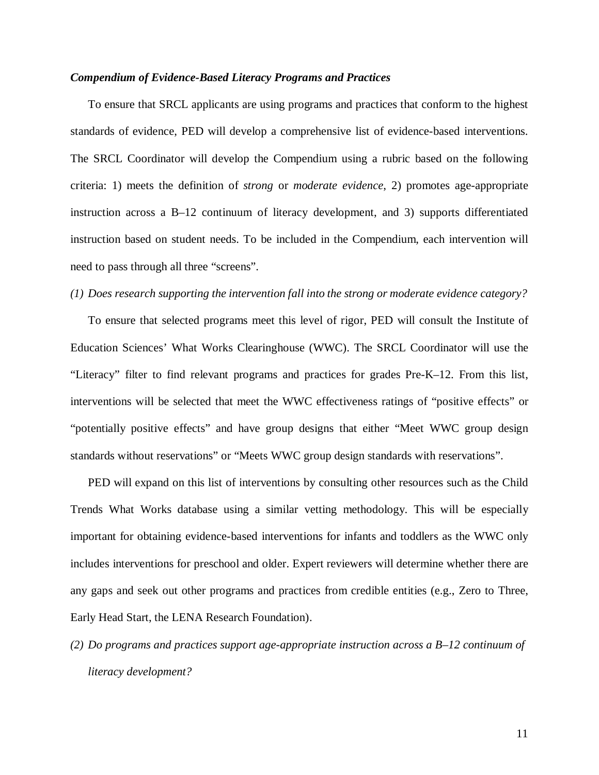## *Compendium of Evidence-Based Literacy Programs and Practices*

To ensure that SRCL applicants are using programs and practices that conform to the highest standards of evidence, PED will develop a comprehensive list of evidence-based interventions. The SRCL Coordinator will develop the Compendium using a rubric based on the following criteria: 1) meets the definition of *strong* or *moderate evidence*, 2) promotes age-appropriate instruction across a B–12 continuum of literacy development, and 3) supports differentiated instruction based on student needs. To be included in the Compendium, each intervention will need to pass through all three "screens".

## *(1) Does research supporting the intervention fall into the strong or moderate evidence category?*

To ensure that selected programs meet this level of rigor, PED will consult the Institute of Education Sciences' What Works Clearinghouse (WWC). The SRCL Coordinator will use the "Literacy" filter to find relevant programs and practices for grades Pre-K–12. From this list, interventions will be selected that meet the WWC effectiveness ratings of "positive effects" or "potentially positive effects" and have group designs that either "Meet WWC group design standards without reservations" or "Meets WWC group design standards with reservations".

PED will expand on this list of interventions by consulting other resources such as the Child Trends What Works database using a similar vetting methodology. This will be especially important for obtaining evidence-based interventions for infants and toddlers as the WWC only includes interventions for preschool and older. Expert reviewers will determine whether there are any gaps and seek out other programs and practices from credible entities (e.g., Zero to Three, Early Head Start, the LENA Research Foundation).

*(2) Do programs and practices support age-appropriate instruction across a B–12 continuum of literacy development?*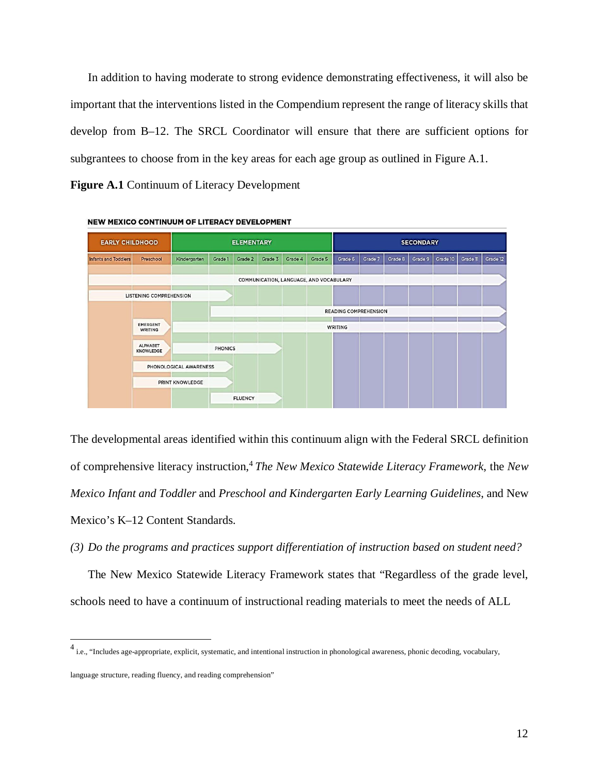In addition to having moderate to strong evidence demonstrating effectiveness, it will also be important that the interventions listed in the Compendium represent the range of literacy skills that develop from B–12. The SRCL Coordinator will ensure that there are sufficient options for subgrantees to choose from in the key areas for each age group as outlined in Figure A.1.

**Figure A.1** Continuum of Literacy Development



NEW MEXICO CONTINUUM OF LITERACY DEVELOPMENT

The developmental areas identified within this continuum align with the Federal SRCL definition of comprehensive literacy instruction,[4](#page-11-0) *The New Mexico Statewide Literacy Framework*, the *New Mexico Infant and Toddler* and *Preschool and Kindergarten Early Learning Guidelines*, and New Mexico's K–12 Content Standards.

*(3) Do the programs and practices support differentiation of instruction based on student need?*

The New Mexico Statewide Literacy Framework states that "Regardless of the grade level, schools need to have a continuum of instructional reading materials to meet the needs of ALL

<span id="page-11-0"></span><sup>&</sup>lt;sup>4</sup> i.e., "Includes age-appropriate, explicit, systematic, and intentional instruction in phonological awareness, phonic decoding, vocabulary,

language structure, reading fluency, and reading comprehension"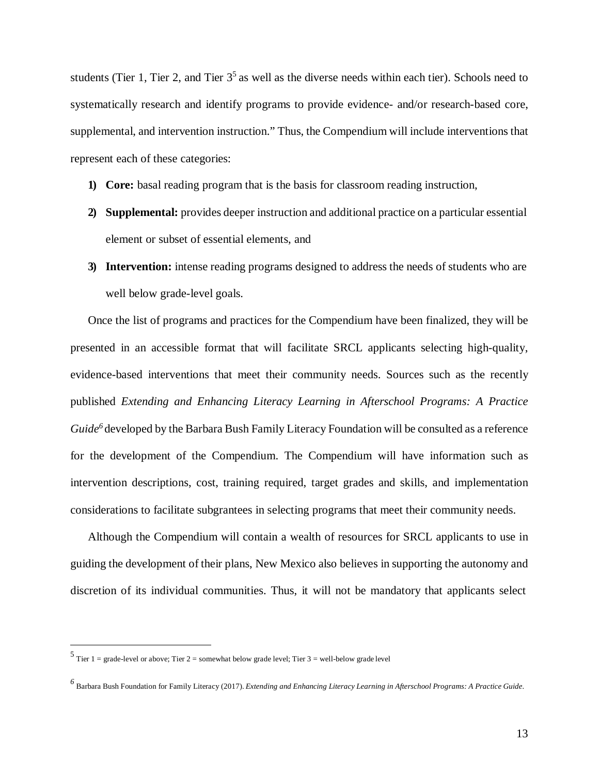students (Tier 1, Tier 2, and Tier  $3<sup>5</sup>$  as well as the diverse needs within each tier). Schools need to systematically research and identify programs to provide evidence- and/or research-based core, supplemental, and intervention instruction." Thus, the Compendium will include interventions that represent each of these categories:

- **1) Core:** basal reading program that is the basis for classroom reading instruction,
- **2) Supplemental:** provides deeper instruction and additional practice on a particular essential element or subset of essential elements, and
- **3) Intervention:** intense reading programs designed to address the needs of students who are well below grade-level goals.

Once the list of programs and practices for the Compendium have been finalized, they will be presented in an accessible format that will facilitate SRCL applicants selecting high-quality, evidence-based interventions that meet their community needs. Sources such as the recently published *Extending and Enhancing Literacy Learning in Afterschool Programs: A Practice Guide*<sup>6</sup> developed by the Barbara Bush Family Literacy Foundation will be consulted as a reference for the development of the Compendium. The Compendium will have information such as intervention descriptions, cost, training required, target grades and skills, and implementation considerations to facilitate subgrantees in selecting programs that meet their community needs.

Although the Compendium will contain a wealth of resources for SRCL applicants to use in guiding the development of their plans, New Mexico also believes in supporting the autonomy and discretion of its individual communities. Thus, it will not be mandatory that applicants select

13

<span id="page-12-0"></span> $5$  Tier 1 = grade-level or above; Tier 2 = somewhat below grade level; Tier 3 = well-below grade level

<span id="page-12-1"></span>*<sup>6</sup>* Barbara Bush Foundation for Family Literacy (2017). *Extending and Enhancing Literacy Learning in Afterschool Programs: <sup>A</sup> Practice Guide.*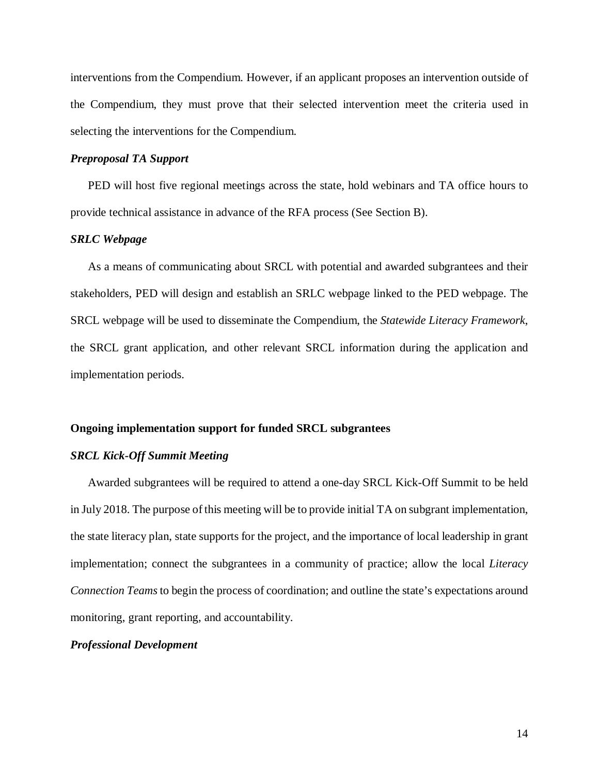interventions from the Compendium. However, if an applicant proposes an intervention outside of the Compendium, they must prove that their selected intervention meet the criteria used in selecting the interventions for the Compendium.

## *Preproposal TA Support*

PED will host five regional meetings across the state, hold webinars and TA office hours to provide technical assistance in advance of the RFA process (See Section B).

## *SRLC Webpage*

As a means of communicating about SRCL with potential and awarded subgrantees and their stakeholders, PED will design and establish an SRLC webpage linked to the PED webpage. The SRCL webpage will be used to disseminate the Compendium, the *Statewide Literacy Framework*, the SRCL grant application, and other relevant SRCL information during the application and implementation periods.

#### **Ongoing implementation support for funded SRCL subgrantees**

## *SRCL Kick-Off Summit Meeting*

Awarded subgrantees will be required to attend a one-day SRCL Kick-Off Summit to be held in July 2018. The purpose of this meeting will be to provide initial TA on subgrant implementation, the state literacy plan, state supports for the project, and the importance of local leadership in grant implementation; connect the subgrantees in a community of practice; allow the local *Literacy Connection Teams*to begin the process of coordination; and outline the state's expectations around monitoring, grant reporting, and accountability.

## *Professional Development*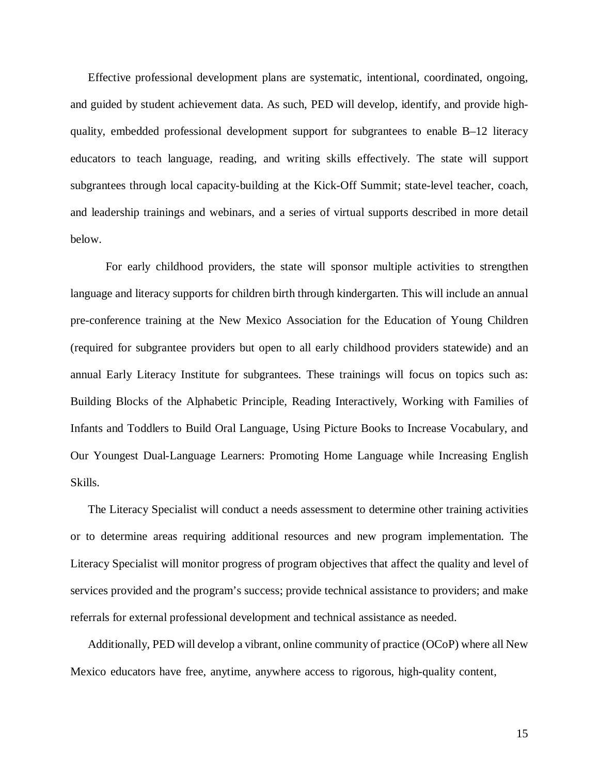Effective professional development plans are systematic, intentional, coordinated, ongoing, and guided by student achievement data. As such, PED will develop, identify, and provide highquality, embedded professional development support for subgrantees to enable B–12 literacy educators to teach language, reading, and writing skills effectively. The state will support subgrantees through local capacity-building at the Kick-Off Summit; state-level teacher, coach, and leadership trainings and webinars, and a series of virtual supports described in more detail below.

For early childhood providers, the state will sponsor multiple activities to strengthen language and literacy supports for children birth through kindergarten. This will include an annual pre-conference training at the New Mexico Association for the Education of Young Children (required for subgrantee providers but open to all early childhood providers statewide) and an annual Early Literacy Institute for subgrantees. These trainings will focus on topics such as: Building Blocks of the Alphabetic Principle, Reading Interactively, Working with Families of Infants and Toddlers to Build Oral Language, Using Picture Books to Increase Vocabulary, and Our Youngest Dual-Language Learners: Promoting Home Language while Increasing English Skills.

The Literacy Specialist will conduct a needs assessment to determine other training activities or to determine areas requiring additional resources and new program implementation. The Literacy Specialist will monitor progress of program objectives that affect the quality and level of services provided and the program's success; provide technical assistance to providers; and make referrals for external professional development and technical assistance as needed.

Additionally, PED will develop a vibrant, online community of practice (OCoP) where all New Mexico educators have free, anytime, anywhere access to rigorous, high-quality content,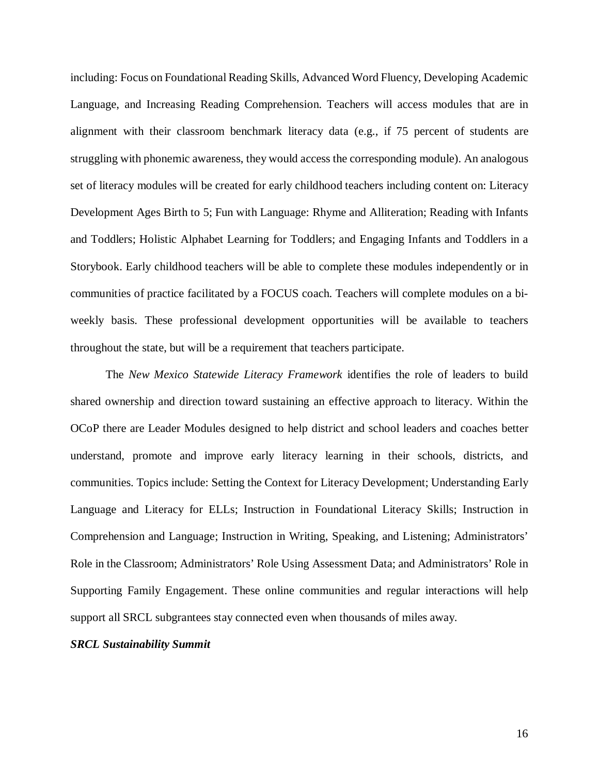including: Focus on Foundational Reading Skills, Advanced Word Fluency, Developing Academic Language, and Increasing Reading Comprehension. Teachers will access modules that are in alignment with their classroom benchmark literacy data (e.g., if 75 percent of students are struggling with phonemic awareness, they would access the corresponding module). An analogous set of literacy modules will be created for early childhood teachers including content on: Literacy Development Ages Birth to 5; Fun with Language: Rhyme and Alliteration; Reading with Infants and Toddlers; Holistic Alphabet Learning for Toddlers; and Engaging Infants and Toddlers in a Storybook. Early childhood teachers will be able to complete these modules independently or in communities of practice facilitated by a FOCUS coach. Teachers will complete modules on a biweekly basis. These professional development opportunities will be available to teachers throughout the state, but will be a requirement that teachers participate.

The *New Mexico Statewide Literacy Framework* identifies the role of leaders to build shared ownership and direction toward sustaining an effective approach to literacy. Within the OCoP there are Leader Modules designed to help district and school leaders and coaches better understand, promote and improve early literacy learning in their schools, districts, and communities. Topics include: Setting the Context for Literacy Development; Understanding Early Language and Literacy for ELLs; Instruction in Foundational Literacy Skills; Instruction in Comprehension and Language; Instruction in Writing, Speaking, and Listening; Administrators' Role in the Classroom; Administrators' Role Using Assessment Data; and Administrators' Role in Supporting Family Engagement. These online communities and regular interactions will help support all SRCL subgrantees stay connected even when thousands of miles away.

## *SRCL Sustainability Summit*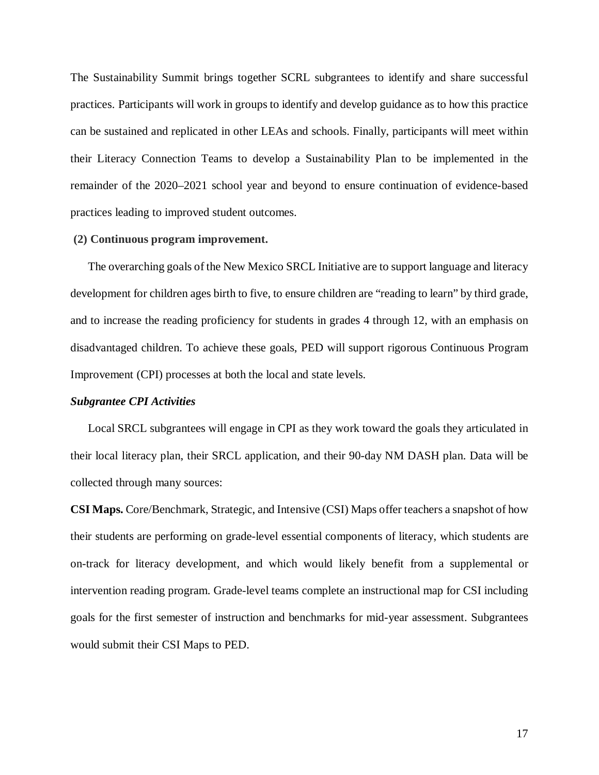The Sustainability Summit brings together SCRL subgrantees to identify and share successful practices. Participants will work in groups to identify and develop guidance as to how this practice can be sustained and replicated in other LEAs and schools. Finally, participants will meet within their Literacy Connection Teams to develop a Sustainability Plan to be implemented in the remainder of the 2020–2021 school year and beyond to ensure continuation of evidence-based practices leading to improved student outcomes.

#### **(2) Continuous program improvement.**

The overarching goals of the New Mexico SRCL Initiative are to support language and literacy development for children ages birth to five, to ensure children are "reading to learn" by third grade, and to increase the reading proficiency for students in grades 4 through 12, with an emphasis on disadvantaged children. To achieve these goals, PED will support rigorous Continuous Program Improvement (CPI) processes at both the local and state levels.

## *Subgrantee CPI Activities*

Local SRCL subgrantees will engage in CPI as they work toward the goals they articulated in their local literacy plan, their SRCL application, and their 90-day NM DASH plan. Data will be collected through many sources:

**CSI Maps.** Core/Benchmark, Strategic, and Intensive (CSI) Maps offer teachers a snapshot of how their students are performing on grade-level essential components of literacy, which students are on-track for literacy development, and which would likely benefit from a supplemental or intervention reading program. Grade-level teams complete an instructional map for CSI including goals for the first semester of instruction and benchmarks for mid-year assessment. Subgrantees would submit their CSI Maps to PED.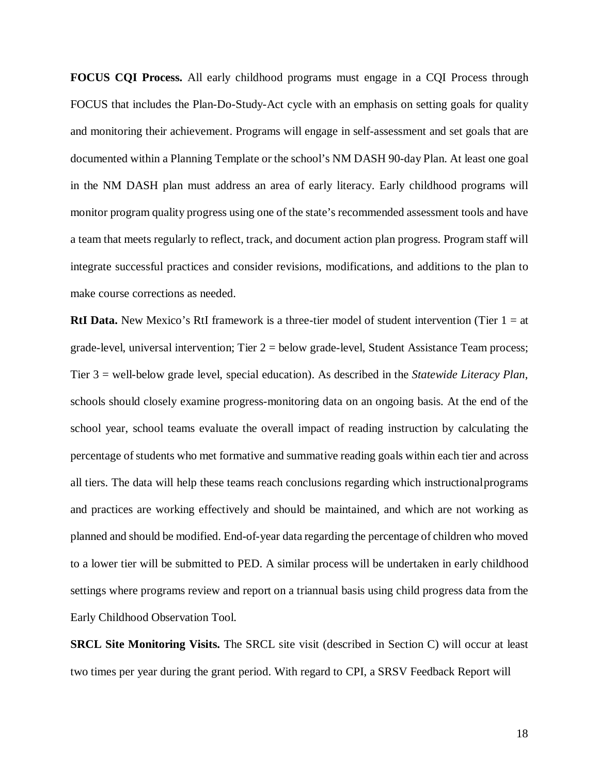**FOCUS CQI Process.** All early childhood programs must engage in a CQI Process through FOCUS that includes the Plan-Do-Study-Act cycle with an emphasis on setting goals for quality and monitoring their achievement. Programs will engage in self-assessment and set goals that are documented within a Planning Template or the school's NM DASH 90-day Plan. At least one goal in the NM DASH plan must address an area of early literacy. Early childhood programs will monitor program quality progress using one of the state's recommended assessment tools and have a team that meets regularly to reflect, track, and document action plan progress. Program staff will integrate successful practices and consider revisions, modifications, and additions to the plan to make course corrections as needed.

**RtI Data.** New Mexico's RtI framework is a three-tier model of student intervention (Tier 1 = at grade-level, universal intervention; Tier  $2 =$  below grade-level, Student Assistance Team process; Tier 3 = well-below grade level, special education). As described in the *Statewide Literacy Plan*, schools should closely examine progress-monitoring data on an ongoing basis. At the end of the school year, school teams evaluate the overall impact of reading instruction by calculating the percentage of students who met formative and summative reading goals within each tier and across all tiers. The data will help these teams reach conclusions regarding which instructionalprograms and practices are working effectively and should be maintained, and which are not working as planned and should be modified. End-of-year data regarding the percentage of children who moved to a lower tier will be submitted to PED. A similar process will be undertaken in early childhood settings where programs review and report on a triannual basis using child progress data from the Early Childhood Observation Tool.

**SRCL Site Monitoring Visits.** The SRCL site visit (described in Section C) will occur at least two times per year during the grant period. With regard to CPI, a SRSV Feedback Report will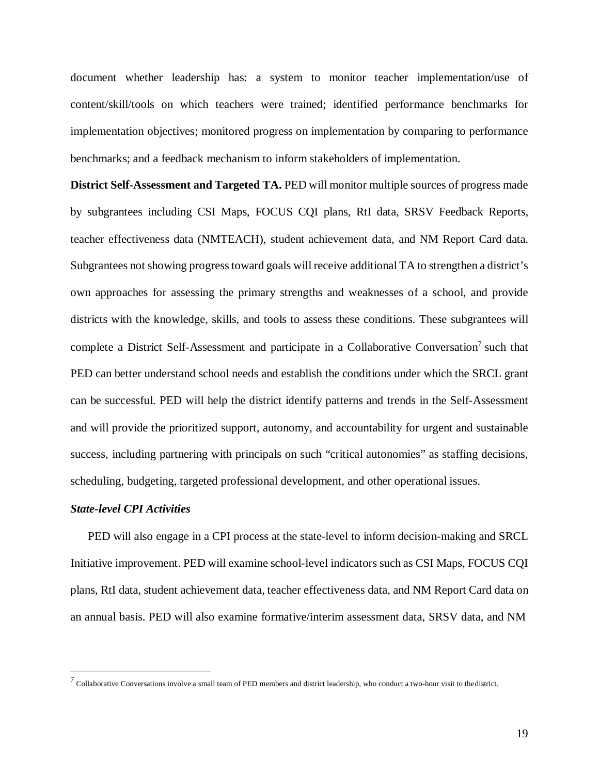document whether leadership has: a system to monitor teacher implementation/use of content/skill/tools on which teachers were trained; identified performance benchmarks for implementation objectives; monitored progress on implementation by comparing to performance benchmarks; and a feedback mechanism to inform stakeholders of implementation.

**District Self-Assessment and Targeted TA.** PED will monitor multiple sources of progress made by subgrantees including CSI Maps, FOCUS CQI plans, RtI data, SRSV Feedback Reports, teacher effectiveness data (NMTEACH), student achievement data, and NM Report Card data. Subgrantees not showing progress toward goals will receive additional TA to strengthen a district's own approaches for assessing the primary strengths and weaknesses of a school, and provide districts with the knowledge, skills, and tools to assess these conditions. These subgrantees will complete a District Self-Assessment and participate in a Collaborative Conversation<sup>7</sup> such that PED can better understand school needs and establish the conditions under which the SRCL grant can be successful. PED will help the district identify patterns and trends in the Self-Assessment and will provide the prioritized support, autonomy, and accountability for urgent and sustainable success, including partnering with principals on such "critical autonomies" as staffing decisions, scheduling, budgeting, targeted professional development, and other operational issues.

#### *State-level CPI Activities*

PED will also engage in a CPI process at the state-level to inform decision-making and SRCL Initiative improvement. PED will examine school-level indicators such as CSI Maps, FOCUS CQI plans, RtI data, student achievement data, teacher effectiveness data, and NM Report Card data on an annual basis. PED will also examine formative/interim assessment data, SRSV data, and NM

<span id="page-18-0"></span> $^7$  Collaborative Conversations involve a small team of PED members and district leadership, who conduct a two-hour visit to the district.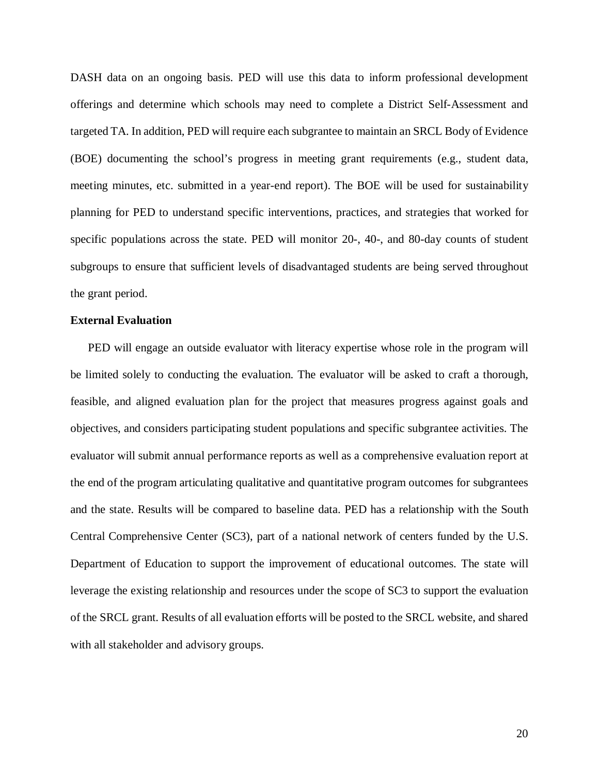DASH data on an ongoing basis. PED will use this data to inform professional development offerings and determine which schools may need to complete a District Self-Assessment and targeted TA. In addition, PED will require each subgrantee to maintain an SRCL Body of Evidence (BOE) documenting the school's progress in meeting grant requirements (e.g., student data, meeting minutes, etc. submitted in a year-end report). The BOE will be used for sustainability planning for PED to understand specific interventions, practices, and strategies that worked for specific populations across the state. PED will monitor 20-, 40-, and 80-day counts of student subgroups to ensure that sufficient levels of disadvantaged students are being served throughout the grant period.

## **External Evaluation**

PED will engage an outside evaluator with literacy expertise whose role in the program will be limited solely to conducting the evaluation. The evaluator will be asked to craft a thorough, feasible, and aligned evaluation plan for the project that measures progress against goals and objectives, and considers participating student populations and specific subgrantee activities. The evaluator will submit annual performance reports as well as a comprehensive evaluation report at the end of the program articulating qualitative and quantitative program outcomes for subgrantees and the state. Results will be compared to baseline data. PED has a relationship with the South Central Comprehensive Center (SC3), part of a national network of centers funded by the U.S. Department of Education to support the improvement of educational outcomes. The state will leverage the existing relationship and resources under the scope of SC3 to support the evaluation of the SRCL grant. Results of all evaluation efforts will be posted to the SRCL website, and shared with all stakeholder and advisory groups.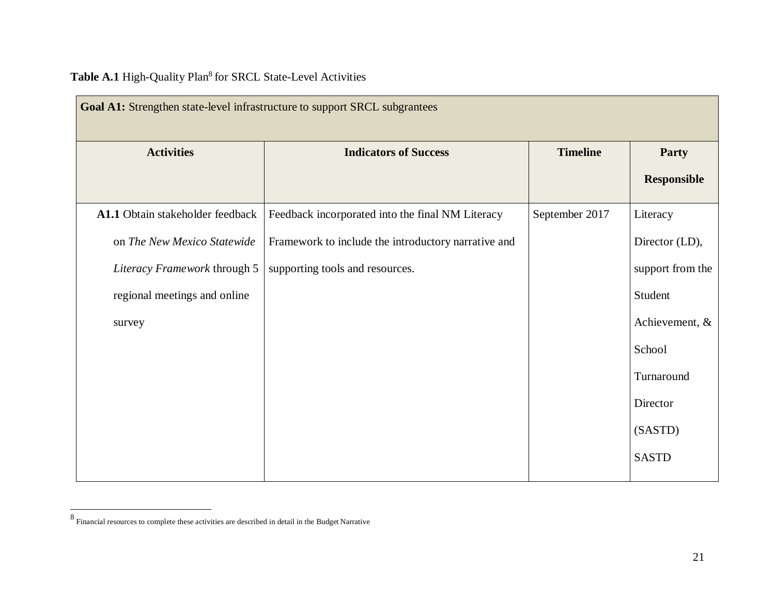|  | Table A.1 High-Quality Plan <sup>8</sup> for SRCL State-Level Activities |  |  |  |
|--|--------------------------------------------------------------------------|--|--|--|
|--|--------------------------------------------------------------------------|--|--|--|

<span id="page-20-0"></span>

| Goal A1: Strengthen state-level infrastructure to support SRCL subgrantees |                                                     |                 |                    |  |
|----------------------------------------------------------------------------|-----------------------------------------------------|-----------------|--------------------|--|
| <b>Activities</b>                                                          | <b>Indicators of Success</b>                        | <b>Timeline</b> | <b>Party</b>       |  |
|                                                                            |                                                     |                 | <b>Responsible</b> |  |
| A1.1 Obtain stakeholder feedback                                           | Feedback incorporated into the final NM Literacy    | September 2017  | Literacy           |  |
| on The New Mexico Statewide                                                | Framework to include the introductory narrative and |                 | Director (LD),     |  |
| Literacy Framework through 5                                               | supporting tools and resources.                     |                 | support from the   |  |
| regional meetings and online                                               |                                                     |                 | Student            |  |
| survey                                                                     |                                                     |                 | Achievement, &     |  |
|                                                                            |                                                     |                 | School             |  |
|                                                                            |                                                     |                 | Turnaround         |  |
|                                                                            |                                                     |                 | Director           |  |
|                                                                            |                                                     |                 | (SASTD)            |  |
|                                                                            |                                                     |                 | <b>SASTD</b>       |  |

 $\,$   $\,$  Financial resources to complete these activities are described in detail in the Budget Narrative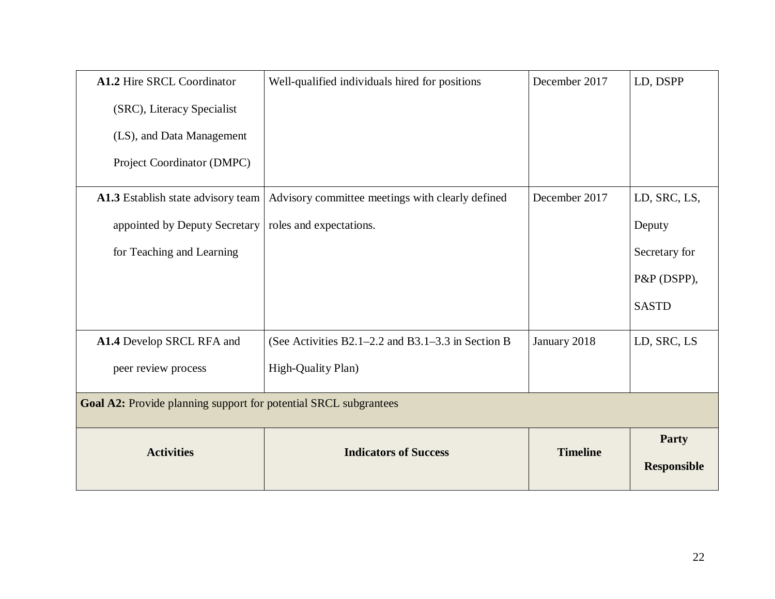| A1.2 Hire SRCL Coordinator                                       | Well-qualified individuals hired for positions         | December 2017   | LD, DSPP           |
|------------------------------------------------------------------|--------------------------------------------------------|-----------------|--------------------|
| (SRC), Literacy Specialist                                       |                                                        |                 |                    |
| (LS), and Data Management                                        |                                                        |                 |                    |
| Project Coordinator (DMPC)                                       |                                                        |                 |                    |
| A1.3 Establish state advisory team                               | Advisory committee meetings with clearly defined       | December 2017   | LD, SRC, LS,       |
| appointed by Deputy Secretary                                    | roles and expectations.                                |                 | Deputy             |
| for Teaching and Learning                                        |                                                        |                 | Secretary for      |
|                                                                  |                                                        |                 | P&P (DSPP),        |
|                                                                  |                                                        |                 | <b>SASTD</b>       |
| A1.4 Develop SRCL RFA and                                        | (See Activities $B2.1-2.2$ and $B3.1-3.3$ in Section B | January 2018    | LD, SRC, LS        |
| peer review process                                              | High-Quality Plan)                                     |                 |                    |
| Goal A2: Provide planning support for potential SRCL subgrantees |                                                        |                 |                    |
| <b>Activities</b>                                                | <b>Indicators of Success</b>                           | <b>Timeline</b> | Party              |
|                                                                  |                                                        |                 | <b>Responsible</b> |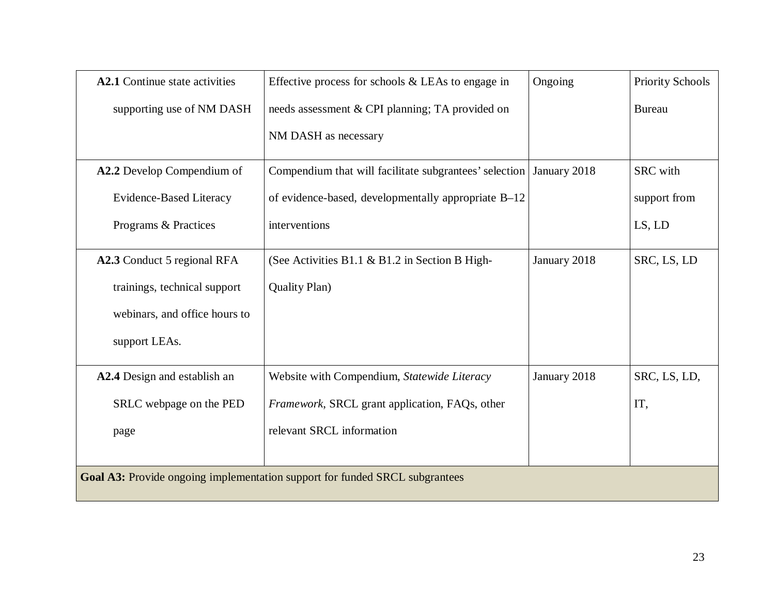| A2.1 Continue state activities | Effective process for schools $&$ LEAs to engage in                         | Ongoing      | <b>Priority Schools</b> |
|--------------------------------|-----------------------------------------------------------------------------|--------------|-------------------------|
| supporting use of NM DASH      | needs assessment & CPI planning; TA provided on                             |              | <b>Bureau</b>           |
|                                | NM DASH as necessary                                                        |              |                         |
| A2.2 Develop Compendium of     | Compendium that will facilitate subgrantees' selection   January 2018       |              | <b>SRC</b> with         |
| Evidence-Based Literacy        | of evidence-based, developmentally appropriate B-12                         |              | support from            |
| Programs & Practices           | interventions                                                               |              | LS, LD                  |
| A2.3 Conduct 5 regional RFA    | (See Activities B1.1 $\&$ B1.2 in Section B High-                           | January 2018 | SRC, LS, LD             |
| trainings, technical support   | <b>Quality Plan</b> )                                                       |              |                         |
| webinars, and office hours to  |                                                                             |              |                         |
| support LEAs.                  |                                                                             |              |                         |
| A2.4 Design and establish an   | Website with Compendium, Statewide Literacy                                 | January 2018 | SRC, LS, LD,            |
| SRLC webpage on the PED        | Framework, SRCL grant application, FAQs, other                              |              | IT,                     |
| page                           | relevant SRCL information                                                   |              |                         |
|                                |                                                                             |              |                         |
|                                | Goal A3: Provide ongoing implementation support for funded SRCL subgrantees |              |                         |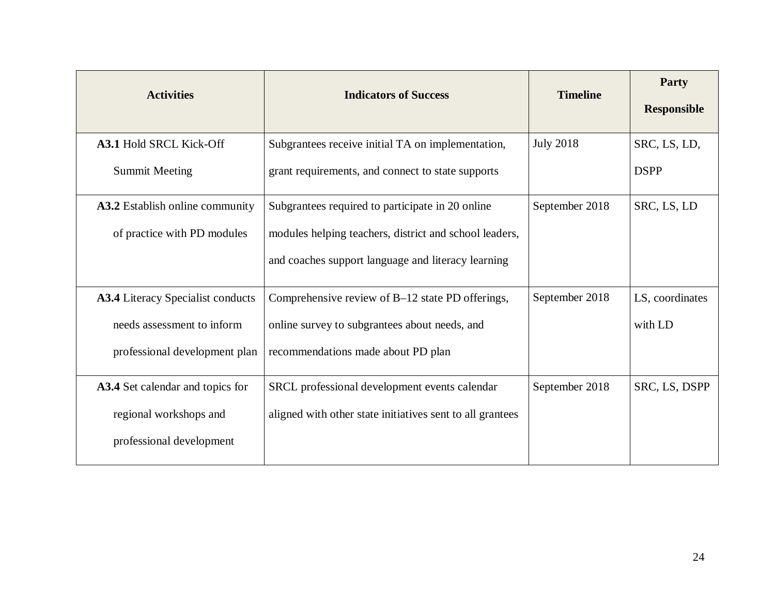| <b>Activities</b>                 | <b>Indicators of Success</b>                              | <b>Timeline</b>  | Party<br><b>Responsible</b> |
|-----------------------------------|-----------------------------------------------------------|------------------|-----------------------------|
| A3.1 Hold SRCL Kick-Off           | Subgrantees receive initial TA on implementation,         | <b>July 2018</b> | SRC, LS, LD,                |
| <b>Summit Meeting</b>             | grant requirements, and connect to state supports         |                  | <b>DSPP</b>                 |
| A3.2 Establish online community   | Subgrantees required to participate in 20 online          | September 2018   | SRC, LS, LD                 |
| of practice with PD modules       | modules helping teachers, district and school leaders,    |                  |                             |
|                                   | and coaches support language and literacy learning        |                  |                             |
| A3.4 Literacy Specialist conducts | Comprehensive review of B-12 state PD offerings,          | September 2018   | LS, coordinates             |
| needs assessment to inform        | online survey to subgrantees about needs, and             |                  | with LD                     |
| professional development plan     | recommendations made about PD plan                        |                  |                             |
| A3.4 Set calendar and topics for  | SRCL professional development events calendar             | September 2018   | SRC, LS, DSPP               |
| regional workshops and            | aligned with other state initiatives sent to all grantees |                  |                             |
| professional development          |                                                           |                  |                             |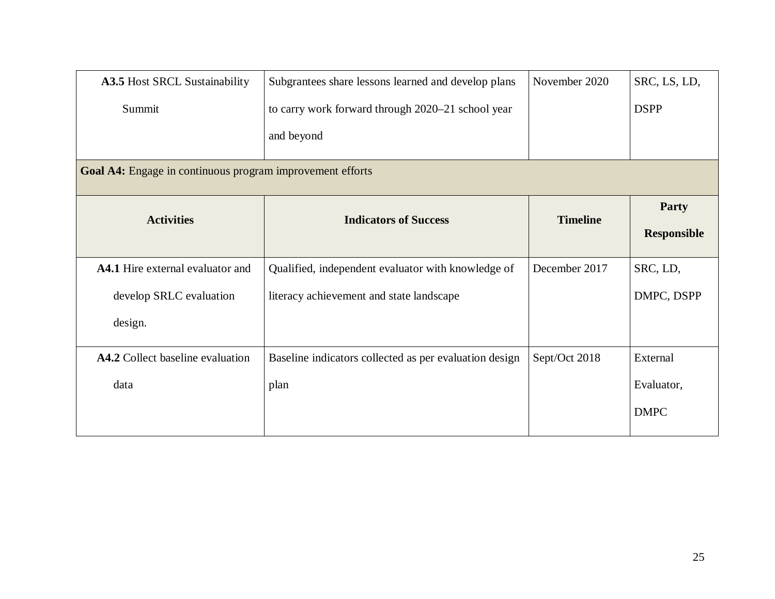| A3.5 Host SRCL Sustainability<br>Summit                   | Subgrantees share lessons learned and develop plans<br>to carry work forward through 2020-21 school year | November 2020   | SRC, LS, LD,<br><b>DSPP</b>        |
|-----------------------------------------------------------|----------------------------------------------------------------------------------------------------------|-----------------|------------------------------------|
|                                                           | and beyond                                                                                               |                 |                                    |
| Goal A4: Engage in continuous program improvement efforts |                                                                                                          |                 |                                    |
| <b>Activities</b>                                         | <b>Indicators of Success</b>                                                                             | <b>Timeline</b> | <b>Party</b><br><b>Responsible</b> |
| <b>A4.1</b> Hire external evaluator and                   | Qualified, independent evaluator with knowledge of                                                       | December 2017   | SRC, LD,                           |
| develop SRLC evaluation<br>design.                        | literacy achievement and state landscape                                                                 |                 | DMPC, DSPP                         |
| A4.2 Collect baseline evaluation                          | Baseline indicators collected as per evaluation design                                                   | Sept/Oct 2018   | External                           |
| data                                                      | plan                                                                                                     |                 | Evaluator,<br><b>DMPC</b>          |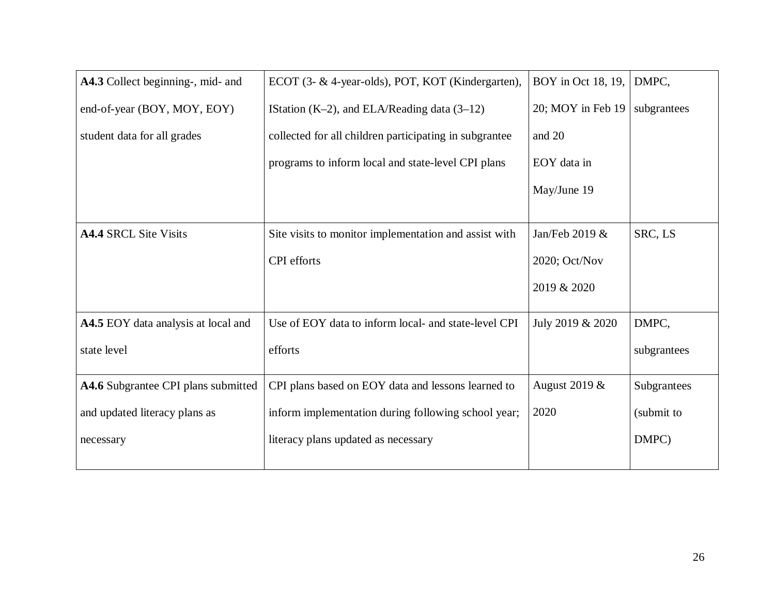| A4.3 Collect beginning-, mid- and          | ECOT (3- & 4-year-olds), POT, KOT (Kindergarten),      | BOY in Oct 18, 19, | DMPC,       |
|--------------------------------------------|--------------------------------------------------------|--------------------|-------------|
| end-of-year (BOY, MOY, EOY)                | IStation $(K-2)$ , and ELA/Reading data $(3-12)$       | 20; MOY in Feb 19  | subgrantees |
| student data for all grades                | collected for all children participating in subgrantee | and 20             |             |
|                                            | programs to inform local and state-level CPI plans     | EOY data in        |             |
|                                            |                                                        | May/June 19        |             |
|                                            |                                                        |                    |             |
| <b>A4.4 SRCL Site Visits</b>               | Site visits to monitor implementation and assist with  | Jan/Feb 2019 &     | SRC, LS     |
|                                            | CPI efforts                                            | 2020; Oct/Nov      |             |
|                                            |                                                        | 2019 & 2020        |             |
|                                            |                                                        |                    |             |
| <b>A4.5</b> EOY data analysis at local and | Use of EOY data to inform local- and state-level CPI   | July 2019 & 2020   | DMPC,       |
| state level                                | efforts                                                |                    | subgrantees |
| A4.6 Subgrantee CPI plans submitted        | CPI plans based on EOY data and lessons learned to     | August 2019 &      | Subgrantees |
| and updated literacy plans as              | inform implementation during following school year;    | 2020               | (submit to  |
| necessary                                  | literacy plans updated as necessary                    |                    | DMPC)       |
|                                            |                                                        |                    |             |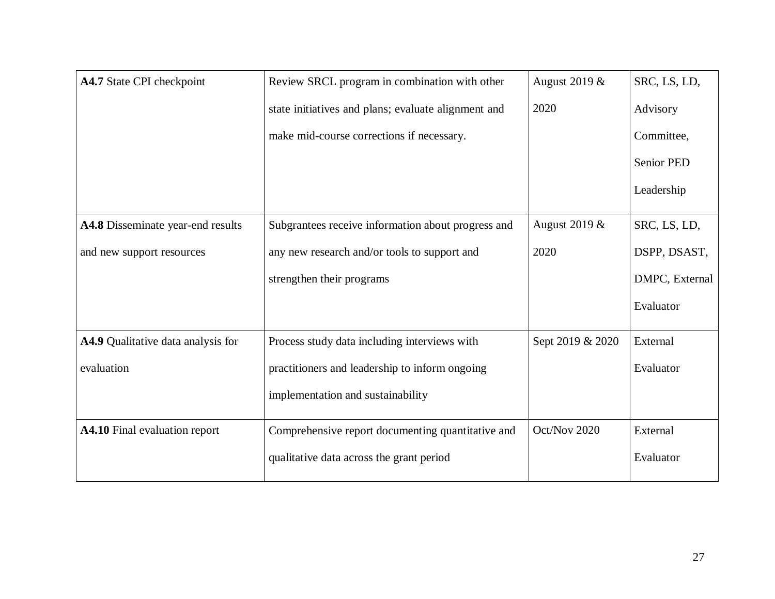| A4.7 State CPI checkpoint          | Review SRCL program in combination with other       | August 2019 &    | SRC, LS, LD,      |
|------------------------------------|-----------------------------------------------------|------------------|-------------------|
|                                    | state initiatives and plans; evaluate alignment and | 2020             | Advisory          |
|                                    | make mid-course corrections if necessary.           |                  | Committee,        |
|                                    |                                                     |                  | <b>Senior PED</b> |
|                                    |                                                     |                  | Leadership        |
| A4.8 Disseminate year-end results  | Subgrantees receive information about progress and  | August 2019 &    | SRC, LS, LD,      |
| and new support resources          | any new research and/or tools to support and        | 2020             | DSPP, DSAST,      |
|                                    | strengthen their programs                           |                  | DMPC, External    |
|                                    |                                                     |                  | Evaluator         |
| A4.9 Qualitative data analysis for | Process study data including interviews with        | Sept 2019 & 2020 | External          |
| evaluation                         | practitioners and leadership to inform ongoing      |                  | Evaluator         |
|                                    | implementation and sustainability                   |                  |                   |
| A4.10 Final evaluation report      | Comprehensive report documenting quantitative and   | Oct/Nov 2020     | External          |
|                                    | qualitative data across the grant period            |                  | Evaluator         |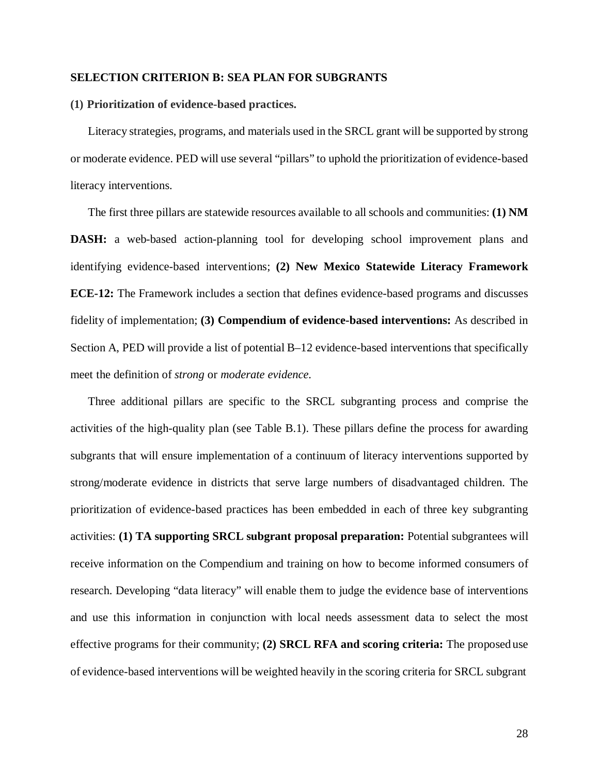#### **SELECTION CRITERION B: SEA PLAN FOR SUBGRANTS**

#### **(1) Prioritization of evidence-based practices.**

Literacy strategies, programs, and materials used in the SRCL grant will be supported by strong or moderate evidence. PED will use several "pillars" to uphold the prioritization of evidence-based literacy interventions.

The first three pillars are statewide resources available to all schools and communities: **(1) NM DASH:** a web-based action-planning tool for developing school improvement plans and identifying evidence-based interventions; **(2) New Mexico Statewide Literacy Framework ECE-12:** The Framework includes a section that defines evidence-based programs and discusses fidelity of implementation; **(3) Compendium of evidence-based interventions:** As described in Section A, PED will provide a list of potential B–12 evidence-based interventions that specifically meet the definition of *strong* or *moderate evidence*.

Three additional pillars are specific to the SRCL subgranting process and comprise the activities of the high-quality plan (see Table B.1). These pillars define the process for awarding subgrants that will ensure implementation of a continuum of literacy interventions supported by strong/moderate evidence in districts that serve large numbers of disadvantaged children. The prioritization of evidence-based practices has been embedded in each of three key subgranting activities: **(1) TA supporting SRCL subgrant proposal preparation:** Potential subgrantees will receive information on the Compendium and training on how to become informed consumers of research. Developing "data literacy" will enable them to judge the evidence base of interventions and use this information in conjunction with local needs assessment data to select the most effective programs for their community; **(2) SRCL RFA and scoring criteria:** The proposed use of evidence-based interventions will be weighted heavily in the scoring criteria for SRCL subgrant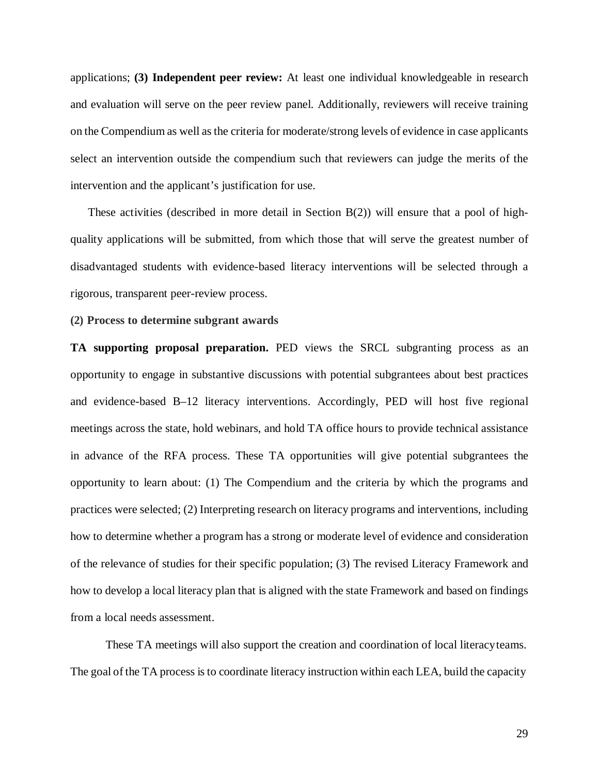applications; **(3) Independent peer review:** At least one individual knowledgeable in research and evaluation will serve on the peer review panel. Additionally, reviewers will receive training on the Compendium as well asthe criteria for moderate/strong levels of evidence in case applicants select an intervention outside the compendium such that reviewers can judge the merits of the intervention and the applicant's justification for use.

These activities (described in more detail in Section B(2)) will ensure that a pool of highquality applications will be submitted, from which those that will serve the greatest number of disadvantaged students with evidence-based literacy interventions will be selected through a rigorous, transparent peer-review process.

#### **(2) Process to determine subgrant awards**

**TA supporting proposal preparation.** PED views the SRCL subgranting process as an opportunity to engage in substantive discussions with potential subgrantees about best practices and evidence-based B–12 literacy interventions. Accordingly, PED will host five regional meetings across the state, hold webinars, and hold TA office hours to provide technical assistance in advance of the RFA process. These TA opportunities will give potential subgrantees the opportunity to learn about: (1) The Compendium and the criteria by which the programs and practices were selected; (2) Interpreting research on literacy programs and interventions, including how to determine whether a program has a strong or moderate level of evidence and consideration of the relevance of studies for their specific population; (3) The revised Literacy Framework and how to develop a local literacy plan that is aligned with the state Framework and based on findings from a local needs assessment.

These TA meetings will also support the creation and coordination of local literacyteams. The goal of the TA process isto coordinate literacy instruction within each LEA, build the capacity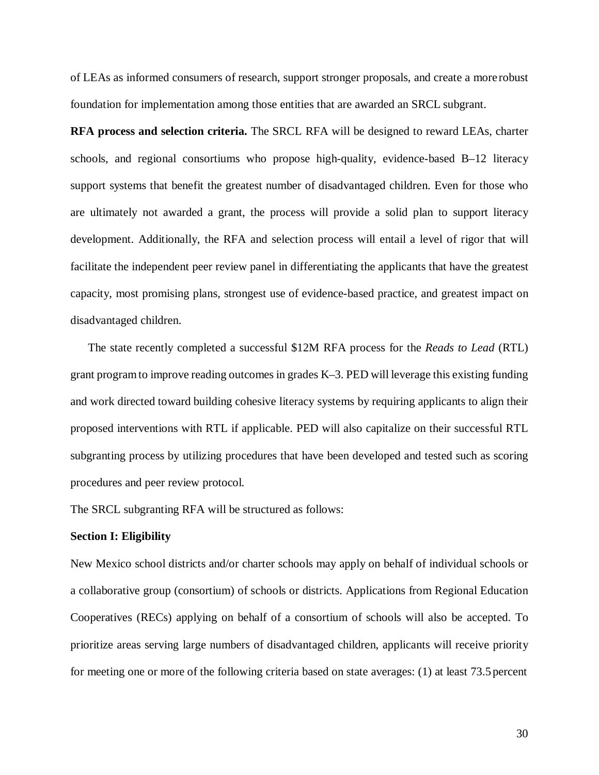of LEAs as informed consumers of research, support stronger proposals, and create a more robust foundation for implementation among those entities that are awarded an SRCL subgrant.

**RFA process and selection criteria.** The SRCL RFA will be designed to reward LEAs, charter schools, and regional consortiums who propose high-quality, evidence-based B–12 literacy support systems that benefit the greatest number of disadvantaged children. Even for those who are ultimately not awarded a grant, the process will provide a solid plan to support literacy development. Additionally, the RFA and selection process will entail a level of rigor that will facilitate the independent peer review panel in differentiating the applicants that have the greatest capacity, most promising plans, strongest use of evidence-based practice, and greatest impact on disadvantaged children.

The state recently completed a successful \$12M RFA process for the *Reads to Lead* (RTL) grant programto improve reading outcomes in grades K–3. PED will leverage this existing funding and work directed toward building cohesive literacy systems by requiring applicants to align their proposed interventions with RTL if applicable. PED will also capitalize on their successful RTL subgranting process by utilizing procedures that have been developed and tested such as scoring procedures and peer review protocol.

The SRCL subgranting RFA will be structured as follows:

#### **Section I: Eligibility**

New Mexico school districts and/or charter schools may apply on behalf of individual schools or a collaborative group (consortium) of schools or districts. Applications from Regional Education Cooperatives (RECs) applying on behalf of a consortium of schools will also be accepted. To prioritize areas serving large numbers of disadvantaged children, applicants will receive priority for meeting one or more of the following criteria based on state averages: (1) at least 73.5percent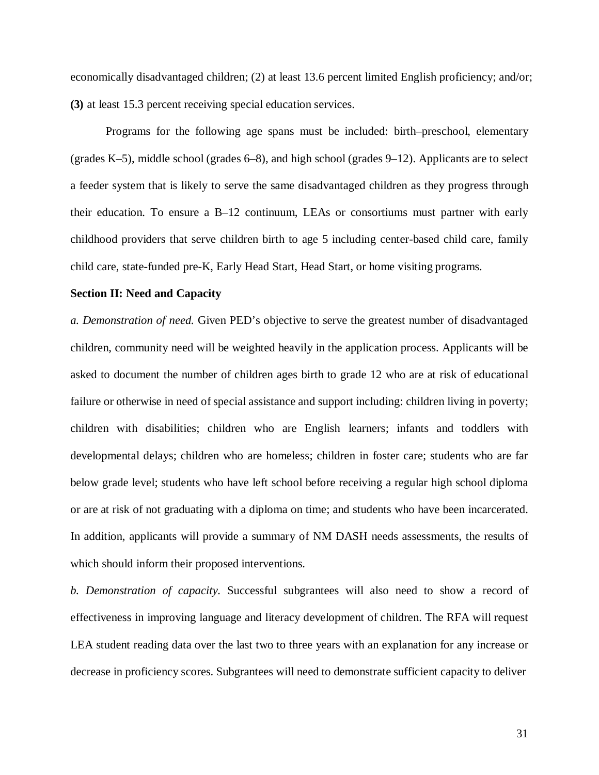economically disadvantaged children; (2) at least 13.6 percent limited English proficiency; and/or; **(3)** at least 15.3 percent receiving special education services.

Programs for the following age spans must be included: birth–preschool, elementary (grades K–5), middle school (grades 6–8), and high school (grades 9–12). Applicants are to select a feeder system that is likely to serve the same disadvantaged children as they progress through their education. To ensure a B–12 continuum, LEAs or consortiums must partner with early childhood providers that serve children birth to age 5 including center-based child care, family child care, state-funded pre-K, Early Head Start, Head Start, or home visiting programs.

#### **Section II: Need and Capacity**

*a. Demonstration of need.* Given PED's objective to serve the greatest number of disadvantaged children, community need will be weighted heavily in the application process. Applicants will be asked to document the number of children ages birth to grade 12 who are at risk of educational failure or otherwise in need of special assistance and support including: children living in poverty; children with disabilities; children who are English learners; infants and toddlers with developmental delays; children who are homeless; children in foster care; students who are far below grade level; students who have left school before receiving a regular high school diploma or are at risk of not graduating with a diploma on time; and students who have been incarcerated. In addition, applicants will provide a summary of NM DASH needs assessments, the results of which should inform their proposed interventions.

*b. Demonstration of capacity.* Successful subgrantees will also need to show a record of effectiveness in improving language and literacy development of children. The RFA will request LEA student reading data over the last two to three years with an explanation for any increase or decrease in proficiency scores. Subgrantees will need to demonstrate sufficient capacity to deliver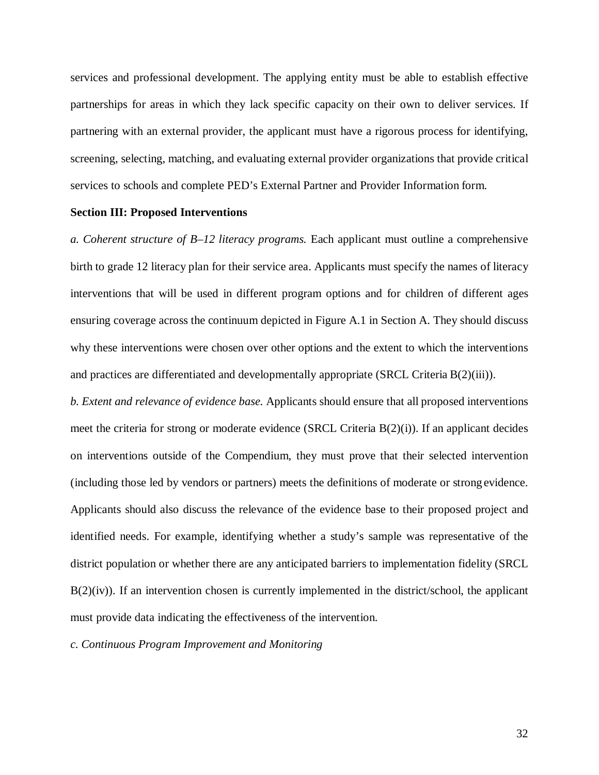services and professional development. The applying entity must be able to establish effective partnerships for areas in which they lack specific capacity on their own to deliver services. If partnering with an external provider, the applicant must have a rigorous process for identifying, screening, selecting, matching, and evaluating external provider organizations that provide critical services to schools and complete PED's External Partner and Provider Information form.

## **Section III: Proposed Interventions**

*a. Coherent structure of B–12 literacy programs.* Each applicant must outline a comprehensive birth to grade 12 literacy plan for their service area. Applicants must specify the names of literacy interventions that will be used in different program options and for children of different ages ensuring coverage across the continuum depicted in Figure A.1 in Section A. They should discuss why these interventions were chosen over other options and the extent to which the interventions and practices are differentiated and developmentally appropriate (SRCL Criteria B(2)(iii)).

*b. Extent and relevance of evidence base.* Applicants should ensure that all proposed interventions meet the criteria for strong or moderate evidence (SRCL Criteria  $B(2)(i)$ ). If an applicant decides on interventions outside of the Compendium, they must prove that their selected intervention (including those led by vendors or partners) meets the definitions of moderate or strong evidence. Applicants should also discuss the relevance of the evidence base to their proposed project and identified needs. For example, identifying whether a study's sample was representative of the district population or whether there are any anticipated barriers to implementation fidelity (SRCL  $B(2)(iv)$ ). If an intervention chosen is currently implemented in the district/school, the applicant must provide data indicating the effectiveness of the intervention.

*c. Continuous Program Improvement and Monitoring*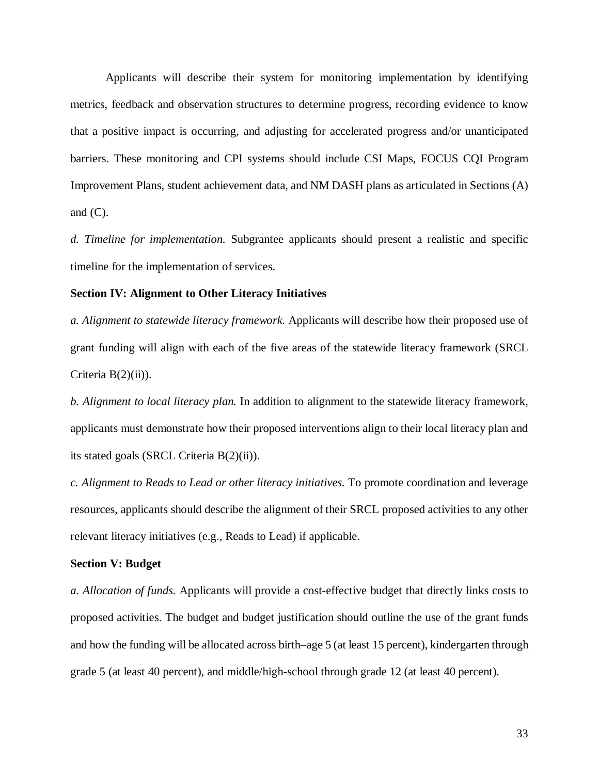Applicants will describe their system for monitoring implementation by identifying metrics, feedback and observation structures to determine progress, recording evidence to know that a positive impact is occurring, and adjusting for accelerated progress and/or unanticipated barriers. These monitoring and CPI systems should include CSI Maps, FOCUS CQI Program Improvement Plans, student achievement data, and NM DASH plans as articulated in Sections (A) and  $(C)$ .

*d. Timeline for implementation.* Subgrantee applicants should present a realistic and specific timeline for the implementation of services.

#### **Section IV: Alignment to Other Literacy Initiatives**

*a. Alignment to statewide literacy framework.* Applicants will describe how their proposed use of grant funding will align with each of the five areas of the statewide literacy framework (SRCL Criteria  $B(2)(ii)$ ).

*b. Alignment to local literacy plan.* In addition to alignment to the statewide literacy framework, applicants must demonstrate how their proposed interventions align to their local literacy plan and its stated goals (SRCL Criteria B(2)(ii)).

*c. Alignment to Reads to Lead or other literacy initiatives.* To promote coordination and leverage resources, applicants should describe the alignment of their SRCL proposed activities to any other relevant literacy initiatives (e.g., Reads to Lead) if applicable.

#### **Section V: Budget**

*a. Allocation of funds.* Applicants will provide a cost-effective budget that directly links costs to proposed activities. The budget and budget justification should outline the use of the grant funds and how the funding will be allocated across birth–age 5 (at least 15 percent), kindergarten through grade 5 (at least 40 percent), and middle/high-school through grade 12 (at least 40 percent).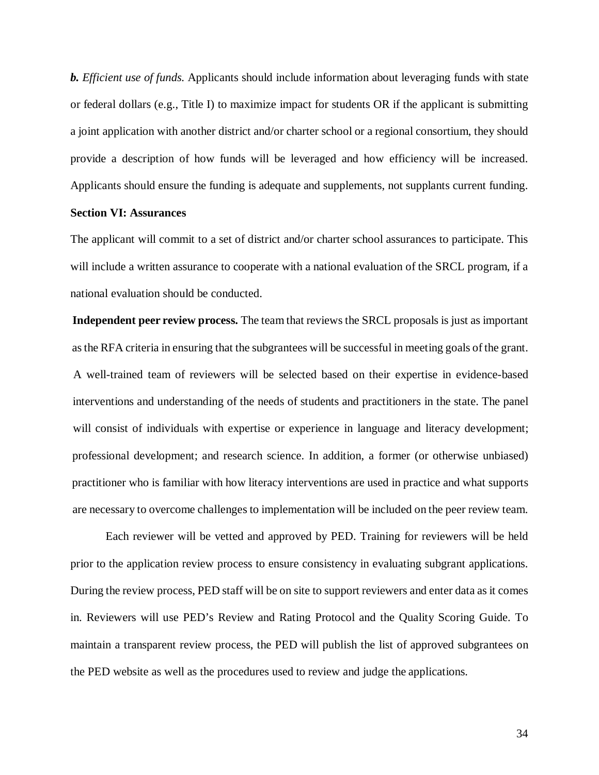*b. Efficient use of funds.* Applicants should include information about leveraging funds with state or federal dollars (e.g., Title I) to maximize impact for students OR if the applicant is submitting a joint application with another district and/or charter school or a regional consortium, they should provide a description of how funds will be leveraged and how efficiency will be increased. Applicants should ensure the funding is adequate and supplements, not supplants current funding.

#### **Section VI: Assurances**

The applicant will commit to a set of district and/or charter school assurances to participate. This will include a written assurance to cooperate with a national evaluation of the SRCL program, if a national evaluation should be conducted.

**Independent peer review process.** The team that reviews the SRCL proposals is just as important asthe RFA criteria in ensuring that the subgrantees will be successful in meeting goals of the grant. A well-trained team of reviewers will be selected based on their expertise in evidence-based interventions and understanding of the needs of students and practitioners in the state. The panel will consist of individuals with expertise or experience in language and literacy development; professional development; and research science. In addition, a former (or otherwise unbiased) practitioner who is familiar with how literacy interventions are used in practice and what supports are necessary to overcome challenges to implementation will be included on the peer review team.

Each reviewer will be vetted and approved by PED. Training for reviewers will be held prior to the application review process to ensure consistency in evaluating subgrant applications. During the review process, PED staff will be on site to support reviewers and enter data as it comes in. Reviewers will use PED's Review and Rating Protocol and the Quality Scoring Guide. To maintain a transparent review process, the PED will publish the list of approved subgrantees on the PED website as well as the procedures used to review and judge the applications.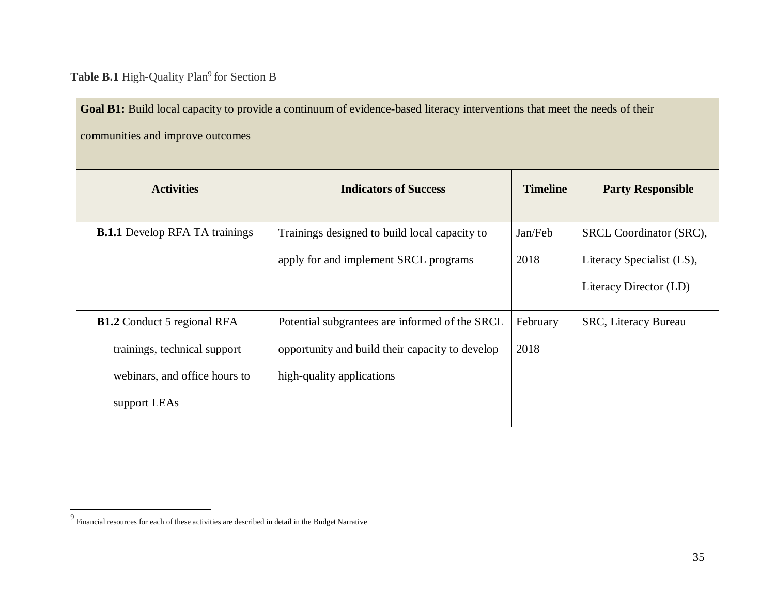Table B.1 High-Quality Plan<sup>9</sup> for Section B

<span id="page-34-0"></span>Goal B1: Build local capacity to provide a continuum of evidence-based literacy interventions that meet the needs of their communities and improve outcomes

| <b>Activities</b>                     | <b>Indicators of Success</b>                    | <b>Timeline</b> | <b>Party Responsible</b>    |
|---------------------------------------|-------------------------------------------------|-----------------|-----------------------------|
| <b>B.1.1</b> Develop RFA TA trainings | Trainings designed to build local capacity to   | Jan/Feb         | SRCL Coordinator (SRC),     |
|                                       | apply for and implement SRCL programs           | 2018            | Literacy Specialist (LS),   |
|                                       |                                                 |                 | Literacy Director (LD)      |
| <b>B1.2</b> Conduct 5 regional RFA    | Potential subgrantees are informed of the SRCL  | February        | <b>SRC, Literacy Bureau</b> |
| trainings, technical support          | opportunity and build their capacity to develop | 2018            |                             |
| webinars, and office hours to         | high-quality applications                       |                 |                             |
| support LEAs                          |                                                 |                 |                             |

 $^9$  Financial resources for each of these activities are described in detail in the Budget Narrative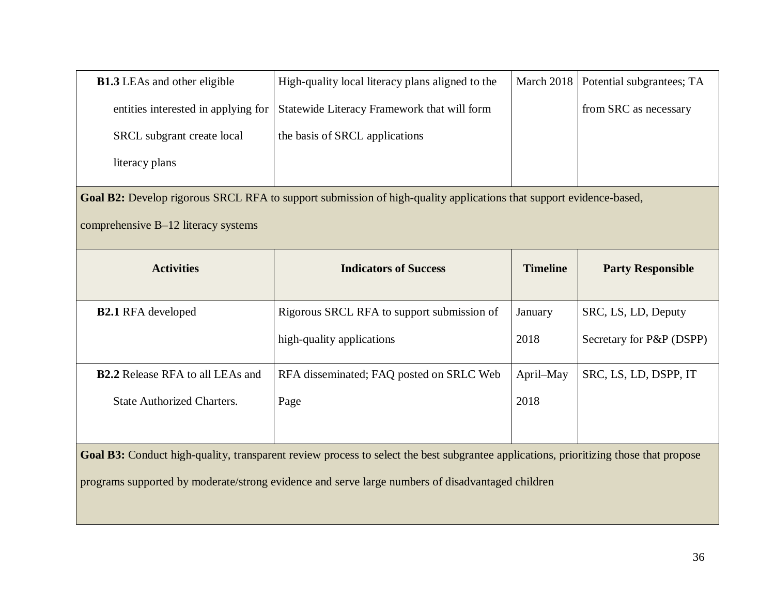| <b>B1.3</b> LEAs and other eligible                                                                                | High-quality local literacy plans aligned to the                                                                                      | March 2018      | Potential subgrantees; TA |  |
|--------------------------------------------------------------------------------------------------------------------|---------------------------------------------------------------------------------------------------------------------------------------|-----------------|---------------------------|--|
| entities interested in applying for                                                                                | Statewide Literacy Framework that will form                                                                                           |                 | from SRC as necessary     |  |
| SRCL subgrant create local                                                                                         | the basis of SRCL applications                                                                                                        |                 |                           |  |
| literacy plans                                                                                                     |                                                                                                                                       |                 |                           |  |
| Goal B2: Develop rigorous SRCL RFA to support submission of high-quality applications that support evidence-based, |                                                                                                                                       |                 |                           |  |
| comprehensive B-12 literacy systems                                                                                |                                                                                                                                       |                 |                           |  |
| <b>Activities</b>                                                                                                  | <b>Indicators of Success</b>                                                                                                          | <b>Timeline</b> | <b>Party Responsible</b>  |  |
|                                                                                                                    |                                                                                                                                       |                 |                           |  |
| <b>B2.1 RFA</b> developed                                                                                          | Rigorous SRCL RFA to support submission of                                                                                            | January         | SRC, LS, LD, Deputy       |  |
|                                                                                                                    | high-quality applications                                                                                                             | 2018            | Secretary for P&P (DSPP)  |  |
| <b>B2.2</b> Release RFA to all LEAs and                                                                            | RFA disseminated; FAQ posted on SRLC Web                                                                                              |                 |                           |  |
|                                                                                                                    |                                                                                                                                       | April-May       | SRC, LS, LD, DSPP, IT     |  |
| <b>State Authorized Charters.</b>                                                                                  | Page                                                                                                                                  | 2018            |                           |  |
|                                                                                                                    |                                                                                                                                       |                 |                           |  |
|                                                                                                                    | Goal B3: Conduct high-quality, transparent review process to select the best subgrantee applications, prioritizing those that propose |                 |                           |  |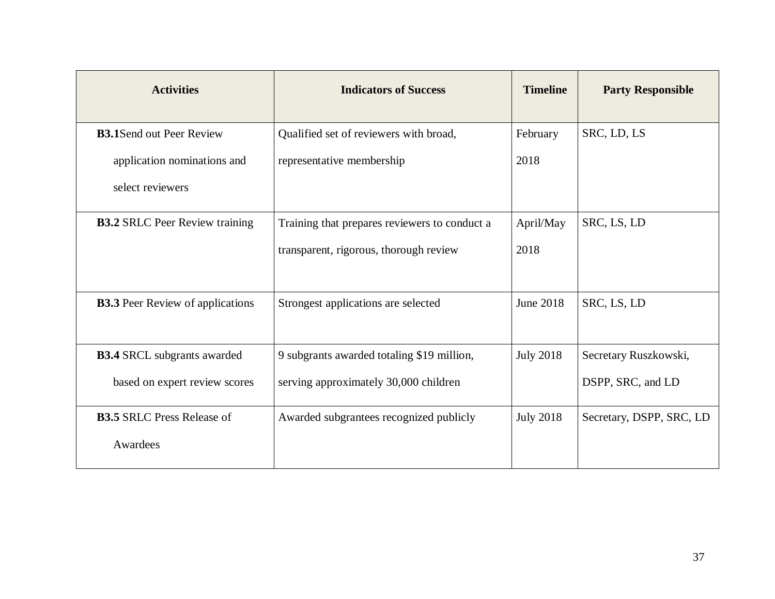| <b>Activities</b>                       | <b>Indicators of Success</b>                  | <b>Timeline</b>  | <b>Party Responsible</b> |
|-----------------------------------------|-----------------------------------------------|------------------|--------------------------|
| <b>B3.1</b> Send out Peer Review        | Qualified set of reviewers with broad,        | February         | SRC, LD, LS              |
| application nominations and             | representative membership                     | 2018             |                          |
| select reviewers                        |                                               |                  |                          |
| <b>B3.2 SRLC Peer Review training</b>   | Training that prepares reviewers to conduct a | April/May        | SRC, LS, LD              |
|                                         | transparent, rigorous, thorough review        | 2018             |                          |
| <b>B3.3</b> Peer Review of applications | Strongest applications are selected           | <b>June 2018</b> | SRC, LS, LD              |
| <b>B3.4 SRCL</b> subgrants awarded      | 9 subgrants awarded totaling \$19 million,    | <b>July 2018</b> | Secretary Ruszkowski,    |
| based on expert review scores           | serving approximately 30,000 children         |                  | DSPP, SRC, and LD        |
| <b>B3.5 SRLC Press Release of</b>       | Awarded subgrantees recognized publicly       | <b>July 2018</b> | Secretary, DSPP, SRC, LD |
| Awardees                                |                                               |                  |                          |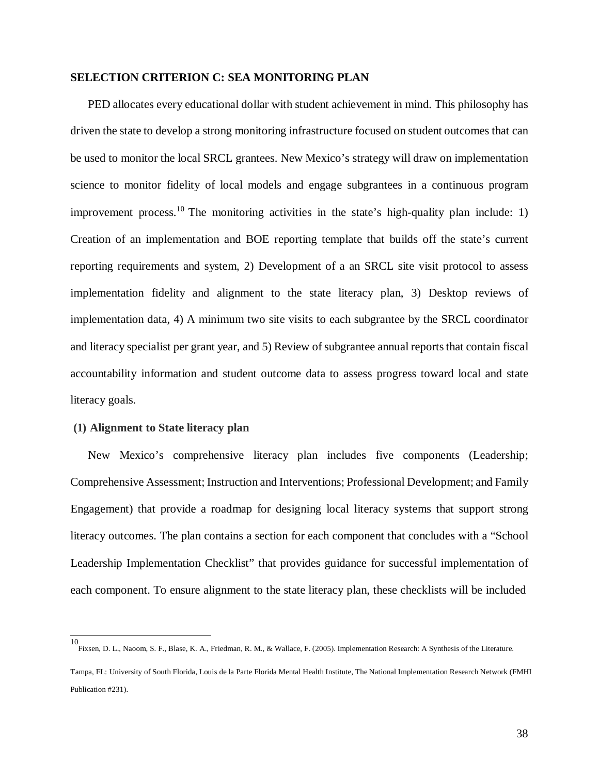## **SELECTION CRITERION C: SEA MONITORING PLAN**

PED allocates every educational dollar with student achievement in mind. This philosophy has driven the state to develop a strong monitoring infrastructure focused on student outcomes that can be used to monitor the local SRCL grantees. New Mexico's strategy will draw on implementation science to monitor fidelity of local models and engage subgrantees in a continuous program improvement process.<sup>[10](#page-37-0)</sup> The monitoring activities in the state's high-quality plan include: 1) Creation of an implementation and BOE reporting template that builds off the state's current reporting requirements and system, 2) Development of a an SRCL site visit protocol to assess implementation fidelity and alignment to the state literacy plan, 3) Desktop reviews of implementation data, 4) A minimum two site visits to each subgrantee by the SRCL coordinator and literacy specialist per grant year, and 5) Review of subgrantee annual reports that contain fiscal accountability information and student outcome data to assess progress toward local and state literacy goals.

## **(1) Alignment to State literacy plan**

New Mexico's comprehensive literacy plan includes five components (Leadership; Comprehensive Assessment; Instruction and Interventions; Professional Development; and Family Engagement) that provide a roadmap for designing local literacy systems that support strong literacy outcomes. The plan contains a section for each component that concludes with a "School Leadership Implementation Checklist" that provides guidance for successful implementation of each component. To ensure alignment to the state literacy plan, these checklists will be included

<span id="page-37-0"></span>10

Fixsen, D. L., Naoom, S. F., Blase, K. A., Friedman, R. M., & Wallace, F. (2005). Implementation Research: A Synthesis of the Literature.

Tampa, FL: University of South Florida, Louis de la Parte Florida Mental Health Institute, The National Implementation Research Network (FMHI Publication #231).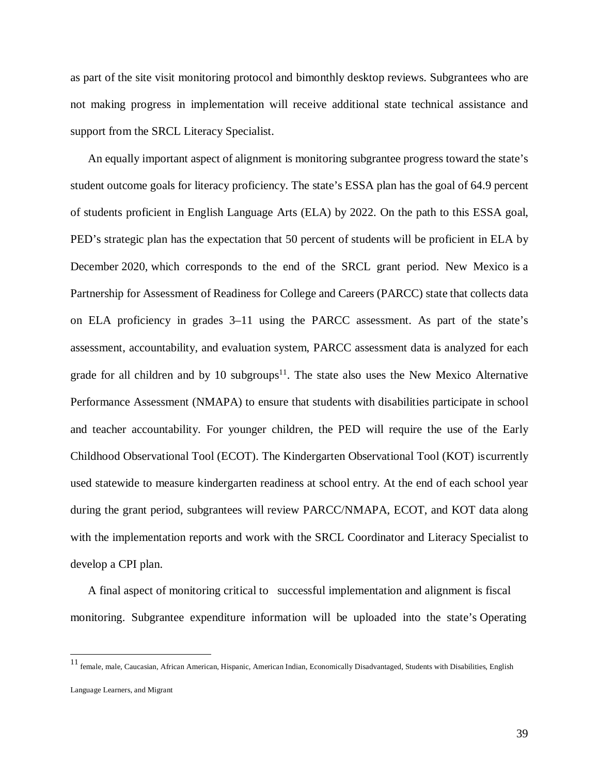as part of the site visit monitoring protocol and bimonthly desktop reviews. Subgrantees who are not making progress in implementation will receive additional state technical assistance and support from the SRCL Literacy Specialist.

An equally important aspect of alignment is monitoring subgrantee progress toward the state's student outcome goals for literacy proficiency. The state's ESSA plan has the goal of 64.9 percent of students proficient in English Language Arts (ELA) by 2022. On the path to this ESSA goal, PED's strategic plan has the expectation that 50 percent of students will be proficient in ELA by December 2020, which corresponds to the end of the SRCL grant period. New Mexico is a Partnership for Assessment of Readiness for College and Careers (PARCC) state that collects data on ELA proficiency in grades 3–11 using the PARCC assessment. As part of the state's assessment, accountability, and evaluation system, PARCC assessment data is analyzed for each grade for all children and by 10 subgroups<sup>11</sup>. The state also uses the New Mexico Alternative Performance Assessment (NMAPA) to ensure that students with disabilities participate in school and teacher accountability. For younger children, the PED will require the use of the Early Childhood Observational Tool (ECOT). The Kindergarten Observational Tool (KOT) iscurrently used statewide to measure kindergarten readiness at school entry. At the end of each school year during the grant period, subgrantees will review PARCC/NMAPA, ECOT, and KOT data along with the implementation reports and work with the SRCL Coordinator and Literacy Specialist to develop a CPI plan.

A final aspect of monitoring critical to successful implementation and alignment is fiscal monitoring. Subgrantee expenditure information will be uploaded into the state's Operating

<span id="page-38-0"></span><sup>11</sup> female, male, Caucasian, African American, Hispanic, American Indian, Economically Disadvantaged, Students with Disabilities, English

Language Learners, and Migrant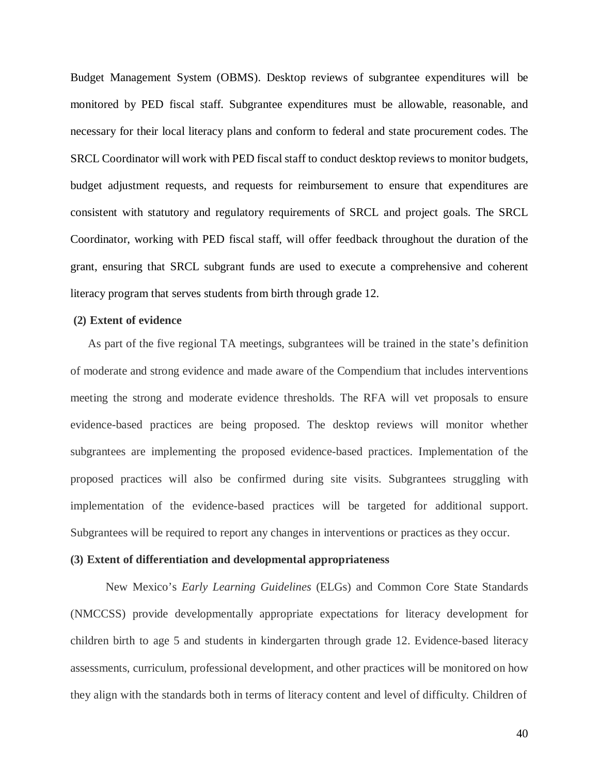Budget Management System (OBMS). Desktop reviews of subgrantee expenditures will be monitored by PED fiscal staff. Subgrantee expenditures must be allowable, reasonable, and necessary for their local literacy plans and conform to federal and state procurement codes. The SRCL Coordinator will work with PED fiscal staff to conduct desktop reviews to monitor budgets, budget adjustment requests, and requests for reimbursement to ensure that expenditures are consistent with statutory and regulatory requirements of SRCL and project goals. The SRCL Coordinator, working with PED fiscal staff, will offer feedback throughout the duration of the grant, ensuring that SRCL subgrant funds are used to execute a comprehensive and coherent literacy program that serves students from birth through grade 12.

#### **(2) Extent of evidence**

As part of the five regional TA meetings, subgrantees will be trained in the state's definition of moderate and strong evidence and made aware of the Compendium that includes interventions meeting the strong and moderate evidence thresholds. The RFA will vet proposals to ensure evidence-based practices are being proposed. The desktop reviews will monitor whether subgrantees are implementing the proposed evidence-based practices. Implementation of the proposed practices will also be confirmed during site visits. Subgrantees struggling with implementation of the evidence-based practices will be targeted for additional support. Subgrantees will be required to report any changes in interventions or practices as they occur.

## **(3) Extent of differentiation and developmental appropriateness**

New Mexico's *Early Learning Guidelines* (ELGs) and Common Core State Standards (NMCCSS) provide developmentally appropriate expectations for literacy development for children birth to age 5 and students in kindergarten through grade 12. Evidence-based literacy assessments, curriculum, professional development, and other practices will be monitored on how they align with the standards both in terms of literacy content and level of difficulty. Children of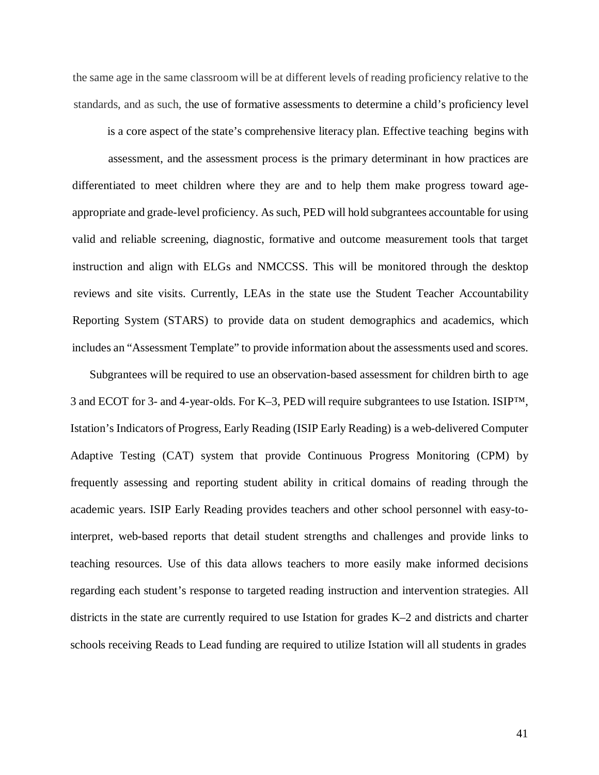the same age in the same classroom will be at different levels of reading proficiency relative to the standards, and as such, the use of formative assessments to determine a child's proficiency level

is a core aspect of the state's comprehensive literacy plan. Effective teaching begins with assessment, and the assessment process is the primary determinant in how practices are differentiated to meet children where they are and to help them make progress toward ageappropriate and grade-level proficiency. As such, PED will hold subgrantees accountable for using valid and reliable screening, diagnostic, formative and outcome measurement tools that target instruction and align with ELGs and NMCCSS. This will be monitored through the desktop reviews and site visits. Currently, LEAs in the state use the Student Teacher Accountability Reporting System (STARS) to provide data on student demographics and academics, which includes an "Assessment Template" to provide information about the assessments used and scores.

Subgrantees will be required to use an observation-based assessment for children birth to age 3 and ECOT for 3- and 4-year-olds. For K–3, PED will require subgrantees to use Istation. ISIP™, Istation's Indicators of Progress, Early Reading (ISIP Early Reading) is a web-delivered Computer Adaptive Testing (CAT) system that provide Continuous Progress Monitoring (CPM) by frequently assessing and reporting student ability in critical domains of reading through the academic years. ISIP Early Reading provides teachers and other school personnel with easy-tointerpret, web-based reports that detail student strengths and challenges and provide links to teaching resources. Use of this data allows teachers to more easily make informed decisions regarding each student's response to targeted reading instruction and intervention strategies. All districts in the state are currently required to use Istation for grades K–2 and districts and charter schools receiving Reads to Lead funding are required to utilize Istation will all students in grades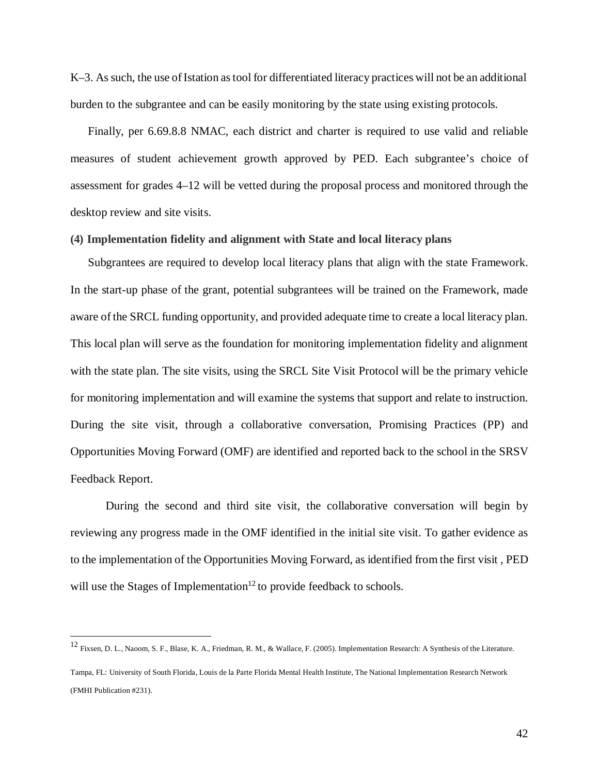K-3. As such, the use of Istation as tool for differentiated literacy practices will not be an additional burden to the subgrantee and can be easily monitoring by the state using existing protocols.

Finally, per 6.69.8.8 NMAC, each district and charter is required to use valid and reliable measures of student achievement growth approved by PED. Each subgrantee's choice of assessment for grades 4–12 will be vetted during the proposal process and monitored through the desktop review and site visits.

#### **(4) Implementation fidelity and alignment with State and local literacy plans**

Subgrantees are required to develop local literacy plans that align with the state Framework. In the start-up phase of the grant, potential subgrantees will be trained on the Framework, made aware of the SRCL funding opportunity, and provided adequate time to create a local literacy plan. This local plan will serve as the foundation for monitoring implementation fidelity and alignment with the state plan. The site visits, using the SRCL Site Visit Protocol will be the primary vehicle for monitoring implementation and will examine the systems that support and relate to instruction. During the site visit, through a collaborative conversation, Promising Practices (PP) and Opportunities Moving Forward (OMF) are identified and reported back to the school in the SRSV Feedback Report.

During the second and third site visit, the collaborative conversation will begin by reviewing any progress made in the OMF identified in the initial site visit. To gather evidence as to the implementation of the Opportunities Moving Forward, as identified from the first visit , PED will use the Stages of Implementation<sup>12</sup> to provide feedback to schools.

<span id="page-41-0"></span><sup>12</sup> Fixsen, D. L., Naoom, S. F., Blase, K. A., Friedman, R. M., & Wallace, F. (2005). Implementation Research: A Synthesis of the Literature.

Tampa, FL: University of South Florida, Louis de la Parte Florida Mental Health Institute, The National Implementation Research Network (FMHI Publication #231).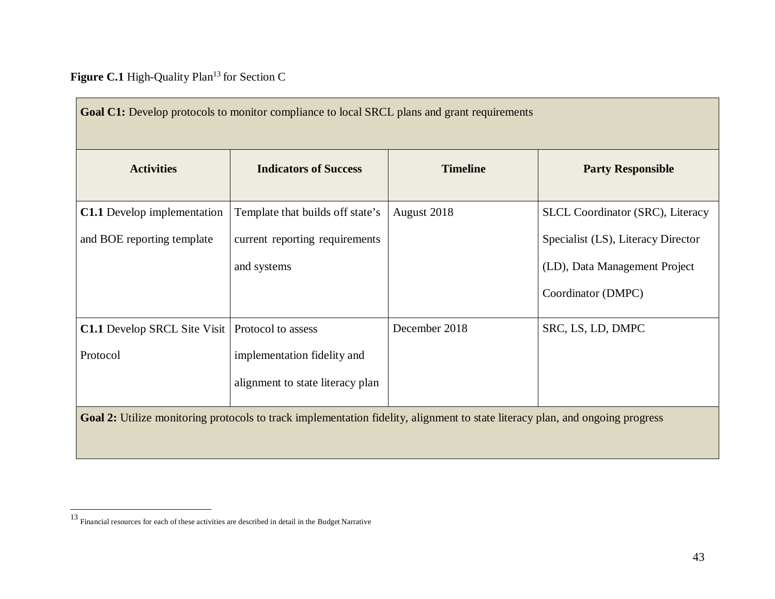Figure C.1 High-Quality Plan<sup>13</sup> for Section C

<span id="page-42-0"></span>

| Goal C1: Develop protocols to monitor compliance to local SRCL plans and grant requirements                                   |                                  |                 |                                    |  |  |  |
|-------------------------------------------------------------------------------------------------------------------------------|----------------------------------|-----------------|------------------------------------|--|--|--|
| <b>Activities</b>                                                                                                             | <b>Indicators of Success</b>     | <b>Timeline</b> | <b>Party Responsible</b>           |  |  |  |
| <b>C1.1</b> Develop implementation                                                                                            | Template that builds off state's | August 2018     | SLCL Coordinator (SRC), Literacy   |  |  |  |
| and BOE reporting template                                                                                                    | current reporting requirements   |                 | Specialist (LS), Literacy Director |  |  |  |
|                                                                                                                               | and systems                      |                 | (LD), Data Management Project      |  |  |  |
|                                                                                                                               |                                  |                 | Coordinator (DMPC)                 |  |  |  |
| <b>C1.1</b> Develop SRCL Site Visit   Protocol to assess                                                                      |                                  | December 2018   | SRC, LS, LD, DMPC                  |  |  |  |
| Protocol                                                                                                                      | implementation fidelity and      |                 |                                    |  |  |  |
|                                                                                                                               | alignment to state literacy plan |                 |                                    |  |  |  |
| Goal 2: Utilize monitoring protocols to track implementation fidelity, alignment to state literacy plan, and ongoing progress |                                  |                 |                                    |  |  |  |

<sup>&</sup>lt;sup>13</sup> Financial resources for each of these activities are described in detail in the Budget Narrative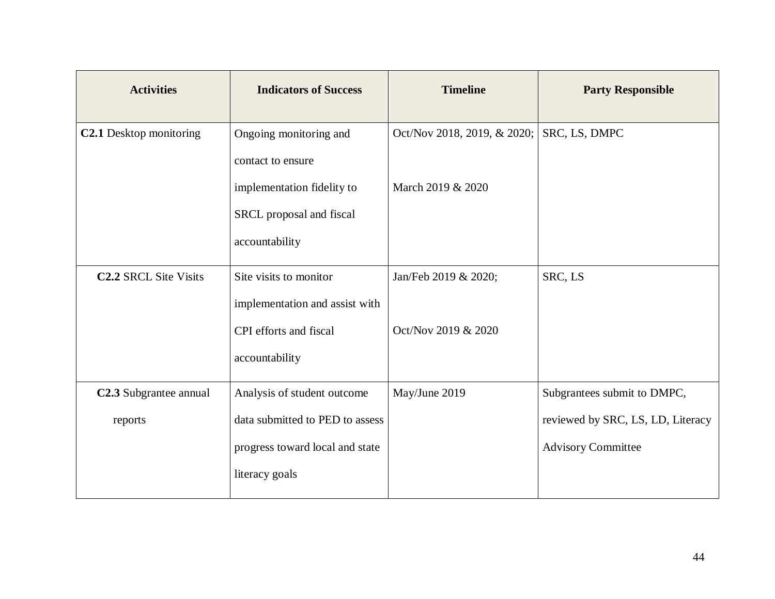| <b>Activities</b>            | <b>Indicators of Success</b>    | <b>Timeline</b>             | <b>Party Responsible</b>          |
|------------------------------|---------------------------------|-----------------------------|-----------------------------------|
| C2.1 Desktop monitoring      | Ongoing monitoring and          | Oct/Nov 2018, 2019, & 2020; | SRC, LS, DMPC                     |
|                              | contact to ensure               |                             |                                   |
|                              | implementation fidelity to      | March 2019 & 2020           |                                   |
|                              | SRCL proposal and fiscal        |                             |                                   |
|                              | accountability                  |                             |                                   |
| <b>C2.2 SRCL Site Visits</b> | Site visits to monitor          | Jan/Feb 2019 & 2020;        | SRC, LS                           |
|                              | implementation and assist with  |                             |                                   |
|                              | CPI efforts and fiscal          | Oct/Nov 2019 & 2020         |                                   |
|                              | accountability                  |                             |                                   |
| C2.3 Subgrantee annual       | Analysis of student outcome     | May/June 2019               | Subgrantees submit to DMPC,       |
| reports                      | data submitted to PED to assess |                             | reviewed by SRC, LS, LD, Literacy |
|                              | progress toward local and state |                             | <b>Advisory Committee</b>         |
|                              | literacy goals                  |                             |                                   |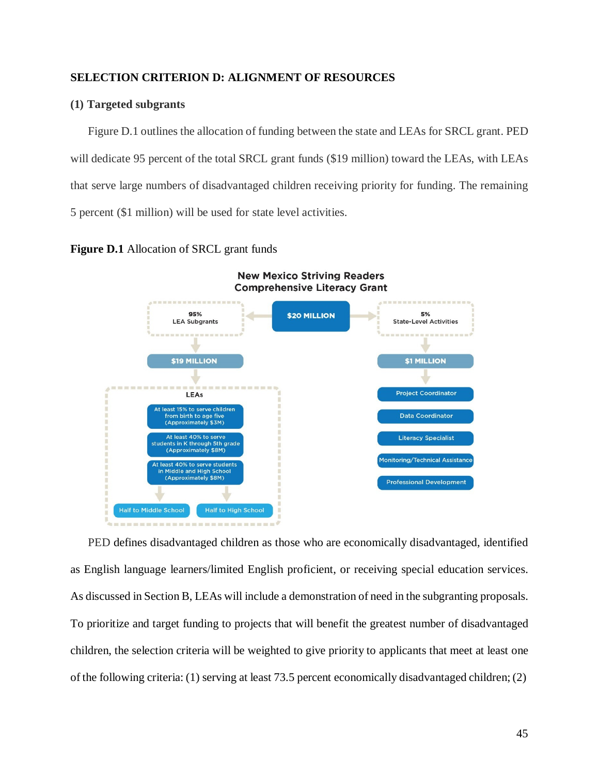## **SELECTION CRITERION D: ALIGNMENT OF RESOURCES**

## **(1) Targeted subgrants**

Figure D.1 outlines the allocation of funding between the state and LEAs for SRCL grant. PED will dedicate 95 percent of the total SRCL grant funds (\$19 million) toward the LEAs, with LEAs that serve large numbers of disadvantaged children receiving priority for funding. The remaining 5 percent (\$1 million) will be used for state level activities.

**Figure D.1** Allocation of SRCL grant funds



PED defines disadvantaged children as those who are economically disadvantaged, identified as English language learners/limited English proficient, or receiving special education services. As discussed in Section B, LEAs will include a demonstration of need in the subgranting proposals. To prioritize and target funding to projects that will benefit the greatest number of disadvantaged children, the selection criteria will be weighted to give priority to applicants that meet at least one of the following criteria: (1) serving at least 73.5 percent economically disadvantaged children; (2)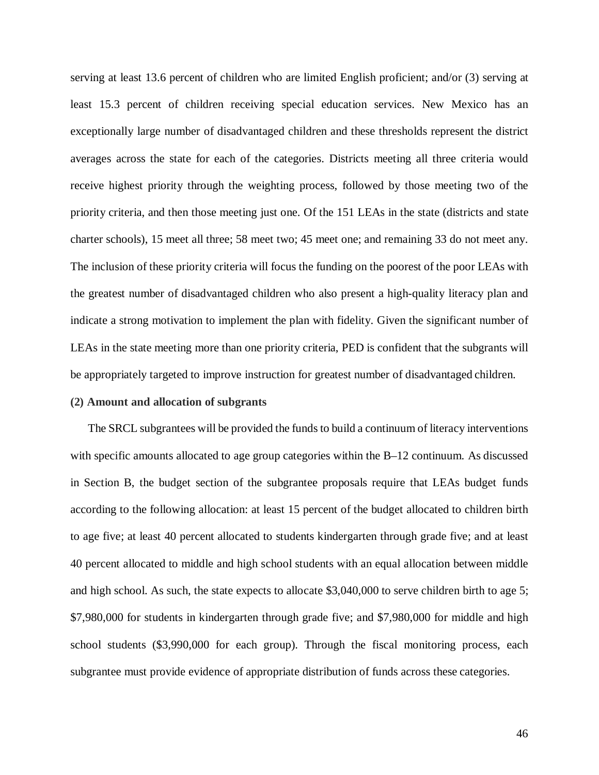serving at least 13.6 percent of children who are limited English proficient; and/or (3) serving at least 15.3 percent of children receiving special education services. New Mexico has an exceptionally large number of disadvantaged children and these thresholds represent the district averages across the state for each of the categories. Districts meeting all three criteria would receive highest priority through the weighting process, followed by those meeting two of the priority criteria, and then those meeting just one. Of the 151 LEAs in the state (districts and state charter schools), 15 meet all three; 58 meet two; 45 meet one; and remaining 33 do not meet any. The inclusion of these priority criteria will focus the funding on the poorest of the poor LEAs with the greatest number of disadvantaged children who also present a high-quality literacy plan and indicate a strong motivation to implement the plan with fidelity. Given the significant number of LEAs in the state meeting more than one priority criteria, PED is confident that the subgrants will be appropriately targeted to improve instruction for greatest number of disadvantaged children.

#### **(2) Amount and allocation of subgrants**

The SRCL subgrantees will be provided the funds to build a continuum of literacy interventions with specific amounts allocated to age group categories within the B–12 continuum. As discussed in Section B, the budget section of the subgrantee proposals require that LEAs budget funds according to the following allocation: at least 15 percent of the budget allocated to children birth to age five; at least 40 percent allocated to students kindergarten through grade five; and at least 40 percent allocated to middle and high school students with an equal allocation between middle and high school. As such, the state expects to allocate \$3,040,000 to serve children birth to age 5; \$7,980,000 for students in kindergarten through grade five; and \$7,980,000 for middle and high school students (\$3,990,000 for each group). Through the fiscal monitoring process, each subgrantee must provide evidence of appropriate distribution of funds across these categories.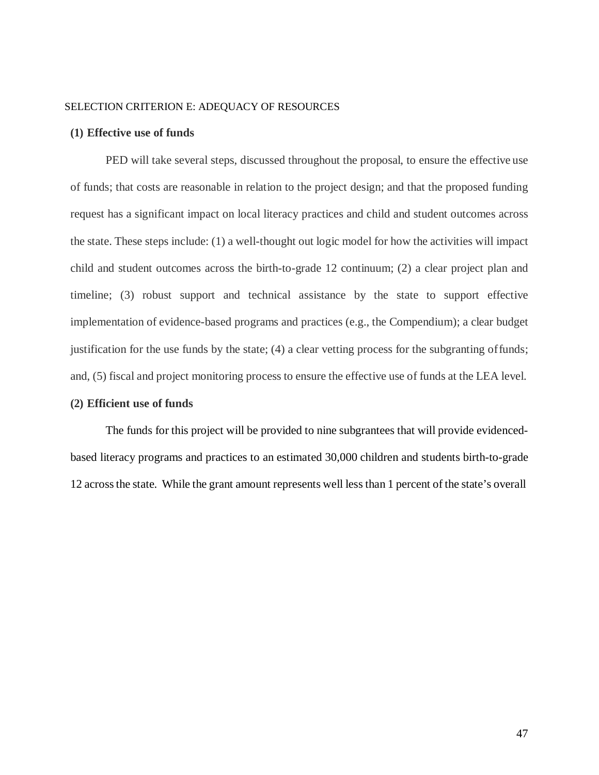#### SELECTION CRITERION E: ADEQUACY OF RESOURCES

#### **(1) Effective use of funds**

PED will take several steps, discussed throughout the proposal, to ensure the effective use of funds; that costs are reasonable in relation to the project design; and that the proposed funding request has a significant impact on local literacy practices and child and student outcomes across the state. These steps include: (1) a well-thought out logic model for how the activities will impact child and student outcomes across the birth-to-grade 12 continuum; (2) a clear project plan and timeline; (3) robust support and technical assistance by the state to support effective implementation of evidence-based programs and practices (e.g., the Compendium); a clear budget justification for the use funds by the state; (4) a clear vetting process for the subgranting offunds; and, (5) fiscal and project monitoring process to ensure the effective use of funds at the LEA level.

## **(2) Efficient use of funds**

The funds for this project will be provided to nine subgrantees that will provide evidencedbased literacy programs and practices to an estimated 30,000 children and students birth-to-grade 12 acrossthe state. While the grant amount represents well lessthan 1 percent of the state's overall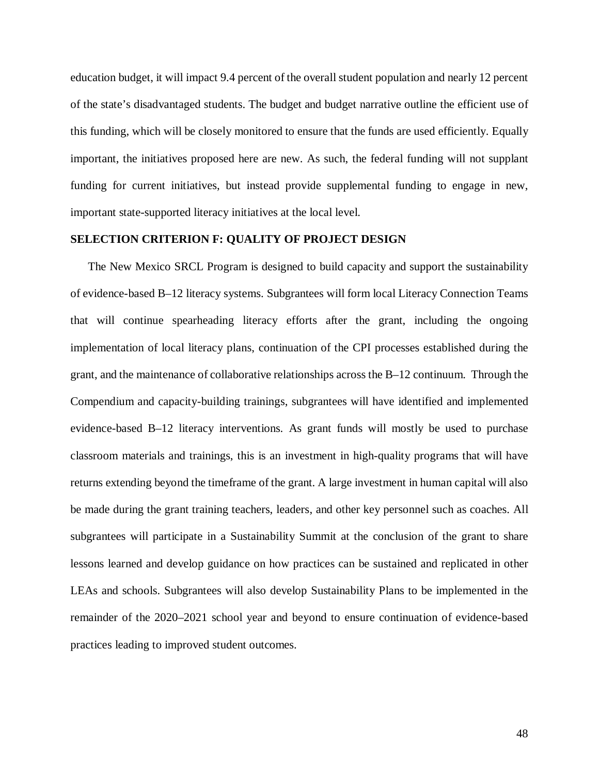education budget, it will impact 9.4 percent of the overall student population and nearly 12 percent of the state's disadvantaged students. The budget and budget narrative outline the efficient use of this funding, which will be closely monitored to ensure that the funds are used efficiently. Equally important, the initiatives proposed here are new. As such, the federal funding will not supplant funding for current initiatives, but instead provide supplemental funding to engage in new, important state-supported literacy initiatives at the local level.

## **SELECTION CRITERION F: QUALITY OF PROJECT DESIGN**

The New Mexico SRCL Program is designed to build capacity and support the sustainability of evidence-based B–12 literacy systems. Subgrantees will form local Literacy Connection Teams that will continue spearheading literacy efforts after the grant, including the ongoing implementation of local literacy plans, continuation of the CPI processes established during the grant, and the maintenance of collaborative relationships across the B–12 continuum. Through the Compendium and capacity-building trainings, subgrantees will have identified and implemented evidence-based B–12 literacy interventions. As grant funds will mostly be used to purchase classroom materials and trainings, this is an investment in high-quality programs that will have returns extending beyond the timeframe of the grant. A large investment in human capital will also be made during the grant training teachers, leaders, and other key personnel such as coaches. All subgrantees will participate in a Sustainability Summit at the conclusion of the grant to share lessons learned and develop guidance on how practices can be sustained and replicated in other LEAs and schools. Subgrantees will also develop Sustainability Plans to be implemented in the remainder of the 2020–2021 school year and beyond to ensure continuation of evidence-based practices leading to improved student outcomes.